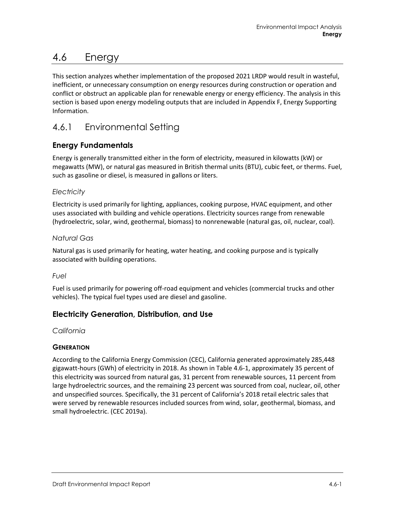# 4.6 Energy

This section analyzes whether implementation of the proposed 2021 LRDP would result in wasteful, inefficient, or unnecessary consumption on energy resources during construction or operation and conflict or obstruct an applicable plan for renewable energy or energy efficiency. The analysis in this section is based upon energy modeling outputs that are included in Appendix F, Energy Supporting Information.

# 4.6.1 Environmental Setting

# **Energy Fundamentals**

Energy is generally transmitted either in the form of electricity, measured in kilowatts (kW) or megawatts (MW), or natural gas measured in British thermal units (BTU), cubic feet, or therms. Fuel, such as gasoline or diesel, is measured in gallons or liters.

# *Electricity*

Electricity is used primarily for lighting, appliances, cooking purpose, HVAC equipment, and other uses associated with building and vehicle operations. Electricity sources range from renewable (hydroelectric, solar, wind, geothermal, biomass) to nonrenewable (natural gas, oil, nuclear, coal).

### *Natural Gas*

Natural gas is used primarily for heating, water heating, and cooking purpose and is typically associated with building operations.

#### *Fuel*

Fuel is used primarily for powering off-road equipment and vehicles (commercial trucks and other vehicles). The typical fuel types used are diesel and gasoline.

# **Electricity Generation, Distribution, and Use**

#### *California*

# **GENERATION**

According to the California Energy Commission (CEC), California generated approximately 285,448 gigawatt-hours (GWh) of electricity in 2018. As shown i[n Table 4.6-1,](#page-1-0) approximately 35 percent of this electricity was sourced from natural gas, 31 percent from renewable sources, 11 percent from large hydroelectric sources, and the remaining 23 percent was sourced from coal, nuclear, oil, other and unspecified sources. Specifically, the 31 percent of California's 2018 retail electric sales that were served by renewable resources included sources from wind, solar, geothermal, biomass, and small hydroelectric. (CEC 2019a).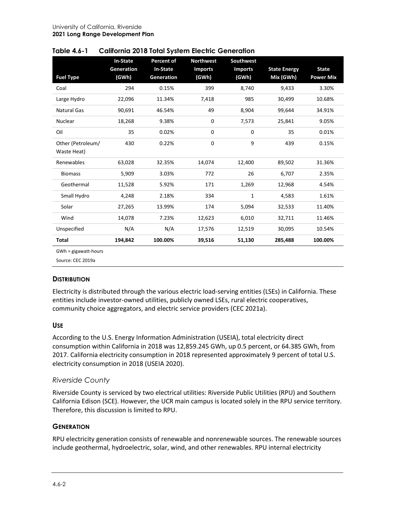| <b>Fuel Type</b>                 | <b>In-State</b><br><b>Generation</b><br>(GWh) | <b>Percent of</b><br><b>In-State</b><br>Generation | <b>Northwest</b><br><b>Imports</b><br>(GWh) | <b>Southwest</b><br><b>Imports</b><br>(GWh) | <b>State Energy</b><br>Mix (GWh) | <b>State</b><br><b>Power Mix</b> |
|----------------------------------|-----------------------------------------------|----------------------------------------------------|---------------------------------------------|---------------------------------------------|----------------------------------|----------------------------------|
| Coal                             | 294                                           | 0.15%                                              | 399                                         | 8,740                                       | 9,433                            | 3.30%                            |
| Large Hydro                      | 22,096                                        | 11.34%                                             | 7,418                                       | 985                                         | 30,499                           | 10.68%                           |
| <b>Natural Gas</b>               | 90,691                                        | 46.54%                                             | 49                                          | 8,904                                       | 99,644                           | 34.91%                           |
| Nuclear                          | 18,268                                        | 9.38%                                              | 0                                           | 7,573                                       | 25,841                           | 9.05%                            |
| Oil                              | 35                                            | 0.02%                                              | 0                                           | 0                                           | 35                               | 0.01%                            |
| Other (Petroleum/<br>Waste Heat) | 430                                           | 0.22%                                              | 0                                           | 9                                           | 439                              | 0.15%                            |
| Renewables                       | 63,028                                        | 32.35%                                             | 14,074                                      | 12,400                                      | 89,502                           | 31.36%                           |
| <b>Biomass</b>                   | 5,909                                         | 3.03%                                              | 772                                         | 26                                          | 6,707                            | 2.35%                            |
| Geothermal                       | 11,528                                        | 5.92%                                              | 171                                         | 1,269                                       | 12,968                           | 4.54%                            |
| Small Hydro                      | 4,248                                         | 2.18%                                              | 334                                         | 1                                           | 4,583                            | 1.61%                            |
| Solar                            | 27,265                                        | 13.99%                                             | 174                                         | 5,094                                       | 32,533                           | 11.40%                           |
| Wind                             | 14,078                                        | 7.23%                                              | 12,623                                      | 6,010                                       | 32,711                           | 11.46%                           |
| Unspecified                      | N/A                                           | N/A                                                | 17,576                                      | 12,519                                      | 30,095                           | 10.54%                           |
| Total                            | 194,842                                       | 100.00%                                            | 39,516                                      | 51,130                                      | 285,488                          | 100.00%                          |
| GWh = gigawatt-hours             |                                               |                                                    |                                             |                                             |                                  |                                  |

<span id="page-1-0"></span>

| Table 4.6-1 |  | <b>California 2018 Total System Electric Generation</b> |
|-------------|--|---------------------------------------------------------|
|-------------|--|---------------------------------------------------------|

Source: CEC 2019a

#### **DISTRIBUTION**

Electricity is distributed through the various electric load-serving entities (LSEs) in California. These entities include investor-owned utilities, publicly owned LSEs, rural electric cooperatives, community choice aggregators, and electric service providers (CEC 2021a).

#### **USE**

According to the U.S. Energy Information Administration (USEIA), total electricity direct consumption within California in 2018 was 12,859.245 GWh, up 0.5 percent, or 64.385 GWh, from 2017. California electricity consumption in 2018 represented approximately 9 percent of total U.S. electricity consumption in 2018 (USEIA 2020).

#### *Riverside County*

Riverside County is serviced by two electrical utilities: Riverside Public Utilities (RPU) and Southern California Edison (SCE). However, the UCR main campus is located solely in the RPU service territory. Therefore, this discussion is limited to RPU.

#### **GENERATION**

RPU electricity generation consists of renewable and nonrenewable sources. The renewable sources include geothermal, hydroelectric, solar, wind, and other renewables. RPU internal electricity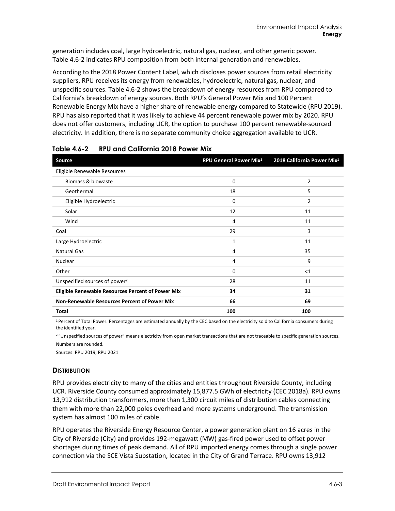generation includes coal, large hydroelectric, natural gas, nuclear, and other generic power. [Table](#page-2-0) 4.6-2 indicates RPU composition from both internal generation and renewables.

According to the 2018 Power Content Label, which discloses power sources from retail electricity suppliers, RPU receives its energy from renewables, hydroelectric, natural gas, nuclear, and unspecific sources. [Table](#page-2-0) 4.6-2 shows the breakdown of energy resources from RPU compared to California's breakdown of energy sources. Both RPU's General Power Mix and 100 Percent Renewable Energy Mix have a higher share of renewable energy compared to Statewide (RPU 2019). RPU has also reported that it was likely to achieve 44 percent renewable power mix by 2020. RPU does not offer customers, including UCR, the option to purchase 100 percent renewable-sourced electricity. In addition, there is no separate community choice aggregation available to UCR.

| <b>Source</b>                                            | <b>RPU General Power Mix<sup>1</sup></b> | 2018 California Power Mix <sup>1</sup> |
|----------------------------------------------------------|------------------------------------------|----------------------------------------|
| Eligible Renewable Resources                             |                                          |                                        |
| Biomass & biowaste                                       | 0                                        | 2                                      |
| Geothermal                                               | 18                                       | 5                                      |
| Eligible Hydroelectric                                   | 0                                        | 2                                      |
| Solar                                                    | 12                                       | 11                                     |
| Wind                                                     | 4                                        | 11                                     |
| Coal                                                     | 29                                       | 3                                      |
| Large Hydroelectric                                      | 1                                        | 11                                     |
| <b>Natural Gas</b>                                       | 4                                        | 35                                     |
| <b>Nuclear</b>                                           | 4                                        | 9                                      |
| Other                                                    | 0                                        | <1                                     |
| Unspecified sources of power <sup>2</sup>                | 28                                       | 11                                     |
| <b>Eligible Renewable Resources Percent of Power Mix</b> | 34                                       | 31                                     |
| Non-Renewable Resources Percent of Power Mix             | 66                                       | 69                                     |
| Total                                                    | 100                                      | 100                                    |

<span id="page-2-0"></span>**Table 4.6-2 RPU and California 2018 Power Mix**

<sup>1</sup> Percent of Total Power. Percentages are estimated annually by the CEC based on the electricity sold to California consumers during the identified year.

<sup>2</sup> "Unspecified sources of power" means electricity from open market transactions that are not traceable to specific generation sources. Numbers are rounded.

Sources: RPU 2019; RPU 2021

#### **DISTRIBUTION**

RPU provides electricity to many of the cities and entities throughout Riverside County, including UCR. Riverside County consumed approximately 15,877.5 GWh of electricity (CEC 2018a). RPU owns 13,912 distribution transformers, more than 1,300 circuit miles of distribution cables connecting them with more than 22,000 poles overhead and more systems underground. The transmission system has almost 100 miles of cable.

RPU operates the Riverside Energy Resource Center, a power generation plant on 16 acres in the City of Riverside (City) and provides 192-megawatt (MW) gas-fired power used to offset power shortages during times of peak demand. All of RPU imported energy comes through a single power connection via the SCE Vista Substation, located in the City of Grand Terrace. RPU owns 13,912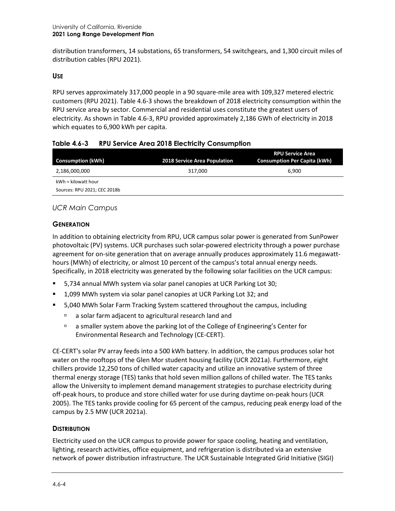distribution transformers, 14 substations, 65 transformers, 54 switchgears, and 1,300 circuit miles of distribution cables (RPU 2021).

#### **USE**

RPU serves approximately 317,000 people in a 90 square-mile area with 109,327 metered electric customers (RPU 2021). [Table 4.6-3](#page-3-0) shows the breakdown of 2018 electricity consumption within the RPU service area by sector. Commercial and residential uses constitute the greatest users of electricity. As shown i[n Table 4.6-3,](#page-3-0) RPU provided approximately 2,186 GWh of electricity in 2018 which equates to 6,900 kWh per capita.

#### <span id="page-3-0"></span>**Table 4.6-3 RPU Service Area 2018 Electricity Consumption**

| <b>Consumption (kWh)</b>     | <b>2018 Service Area Population</b> | <b>RPU Service Area</b><br><b>Consumption Per Capita (kWh)</b> |
|------------------------------|-------------------------------------|----------------------------------------------------------------|
| 2,186,000,000                | 317,000                             | 6.900                                                          |
| $kWh = kilowatt hour$        |                                     |                                                                |
| Sources: RPU 2021; CEC 2018b |                                     |                                                                |

### *UCR Main Campus*

#### **GENERATION**

In addition to obtaining electricity from RPU, UCR campus solar power is generated from SunPower photovoltaic (PV) systems. UCR purchases such solar-powered electricity through a power purchase agreement for on-site generation that on average annually produces approximately 11.6 megawatthours (MWh) of electricity, or almost 10 percent of the campus's total annual energy needs. Specifically, in 2018 electricity was generated by the following solar facilities on the UCR campus:

- 5,734 annual MWh system via solar panel canopies at UCR Parking Lot 30;
- 1,099 MWh system via solar panel canopies at UCR Parking Lot 32; and
- 5,040 MWh Solar Farm Tracking System scattered throughout the campus, including
	- a solar farm adjacent to agricultural research land and
	- a smaller system above the parking lot of the College of Engineering's Center for Environmental Research and Technology (CE-CERT).

CE-CERT's solar PV array feeds into a 500 kWh battery. In addition, the campus produces solar hot water on the rooftops of the Glen Mor student housing facility (UCR 2021a). Furthermore, eight chillers provide 12,250 tons of chilled water capacity and utilize an innovative system of three thermal energy storage (TES) tanks that hold seven million gallons of chilled water. The TES tanks allow the University to implement demand management strategies to purchase electricity during off-peak hours, to produce and store chilled water for use during daytime on-peak hours (UCR 2005). The TES tanks provide cooling for 65 percent of the campus, reducing peak energy load of the campus by 2.5 MW (UCR 2021a).

#### **DISTRIBUTION**

Electricity used on the UCR campus to provide power for space cooling, heating and ventilation, lighting, research activities, office equipment, and refrigeration is distributed via an extensive network of power distribution infrastructure. The UCR Sustainable Integrated Grid Initiative (SIGI)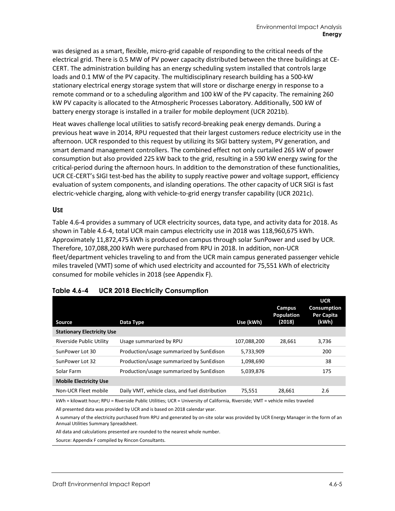was designed as a smart, flexible, micro-grid capable of responding to the critical needs of the electrical grid. There is 0.5 MW of PV power capacity distributed between the three buildings at CE-CERT. The administration building has an energy scheduling system installed that controls large loads and 0.1 MW of the PV capacity. The multidisciplinary research building has a 500-kW stationary electrical energy storage system that will store or discharge energy in response to a remote command or to a scheduling algorithm and 100 kW of the PV capacity. The remaining 260 kW PV capacity is allocated to the Atmospheric Processes Laboratory. Additionally, 500 kW of battery energy storage is installed in a trailer for mobile deployment (UCR 2021b).

Heat waves challenge local utilities to satisfy record-breaking peak energy demands. During a previous heat wave in 2014, RPU requested that their largest customers reduce electricity use in the afternoon. UCR responded to this request by utilizing its SIGI battery system, PV generation, and smart demand management controllers. The combined effect not only curtailed 265 kW of power consumption but also provided 225 kW back to the grid, resulting in a 590 kW energy swing for the critical-period during the afternoon hours. In addition to the demonstration of these functionalities, UCR CE-CERT's SIGI test-bed has the ability to supply reactive power and voltage support, efficiency evaluation of system components, and islanding operations. The other capacity of UCR SIGI is fast electric-vehicle charging, along with vehicle-to-grid energy transfer capability (UCR 2021c).

#### **USE**

[Table 4.6-4](#page-4-0) provides a summary of UCR electricity sources, data type, and activity data for 2018. As shown in [Table 4.6-4,](#page-4-0) total UCR main campus electricity use in 2018 was 118,960,675 kWh. Approximately 11,872,475 kWh is produced on campus through solar SunPower and used by UCR. Therefore, 107,088,200 kWh were purchased from RPU in 2018. In addition, non-UCR fleet/department vehicles traveling to and from the UCR main campus generated passenger vehicle miles traveled (VMT) some of which used electricity and accounted for 75,551 kWh of electricity consumed for mobile vehicles in 2018 (see Appendix F).

| Source                            | Data Type                                       | Use (kWh)   | <b>Campus</b><br><b>Population</b><br>(2018) | <b>UCR</b><br><b>Consumption</b><br>Per Capita<br>(kWh) |
|-----------------------------------|-------------------------------------------------|-------------|----------------------------------------------|---------------------------------------------------------|
| <b>Stationary Electricity Use</b> |                                                 |             |                                              |                                                         |
| Riverside Public Utility          | Usage summarized by RPU                         | 107,088,200 | 28.661                                       | 3,736                                                   |
| SunPower Lot 30                   | Production/usage summarized by SunEdison        | 5,733,909   |                                              | 200                                                     |
| SunPower Lot 32                   | Production/usage summarized by SunEdison        | 1.098.690   |                                              | 38                                                      |
| Solar Farm                        | Production/usage summarized by SunEdison        | 5,039,876   |                                              | 175                                                     |
| <b>Mobile Electricity Use</b>     |                                                 |             |                                              |                                                         |
| Non-UCR Fleet mobile              | Daily VMT, vehicle class, and fuel distribution | 75,551      | 28.661                                       | 2.6                                                     |

#### <span id="page-4-0"></span>**Table 4.6-4 UCR 2018 Electricity Consumption**

kWh = kilowatt hour; RPU = Riverside Public Utilities; UCR = University of California, Riverside; VMT = vehicle miles traveled

All presented data was provided by UCR and is based on 2018 calendar year.

A summary of the electricity purchased from RPU and generated by on-site solar was provided by UCR Energy Manager in the form of an Annual Utilities Summary Spreadsheet.

All data and calculations presented are rounded to the nearest whole number.

Source: Appendix F compiled by Rincon Consultants.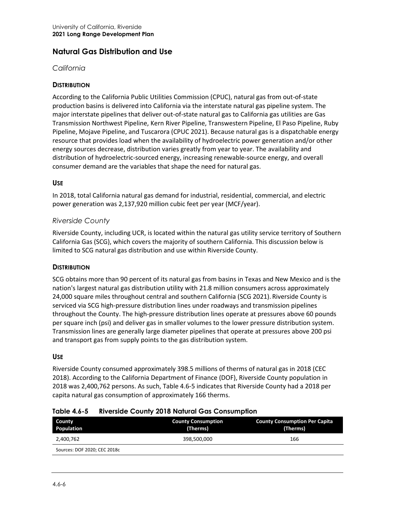# **Natural Gas Distribution and Use**

#### *California*

#### **DISTRIBUTION**

According to the California Public Utilities Commission (CPUC), natural gas from out-of-state production basins is delivered into California via the interstate natural gas pipeline system. The major interstate pipelines that deliver out-of-state natural gas to California gas utilities are Gas Transmission Northwest Pipeline, Kern River Pipeline, Transwestern Pipeline, El Paso Pipeline, Ruby Pipeline, Mojave Pipeline, and Tuscarora (CPUC 2021). Because natural gas is a dispatchable energy resource that provides load when the availability of hydroelectric power generation and/or other energy sources decrease, distribution varies greatly from year to year. The availability and distribution of hydroelectric-sourced energy, increasing renewable-source energy, and overall consumer demand are the variables that shape the need for natural gas.

#### **USE**

In 2018, total California natural gas demand for industrial, residential, commercial, and electric power generation was 2,137,920 million cubic feet per year (MCF/year).

#### *Riverside County*

Riverside County, including UCR, is located within the natural gas utility service territory of Southern California Gas (SCG), which covers the majority of southern California. This discussion below is limited to SCG natural gas distribution and use within Riverside County.

#### **DISTRIBUTION**

SCG obtains more than 90 percent of its natural gas from basins in Texas and New Mexico and is the nation's largest natural gas distribution utility with 21.8 million consumers across approximately 24,000 square miles throughout central and southern California (SCG 2021). Riverside County is serviced via SCG high-pressure distribution lines under roadways and transmission pipelines throughout the County. The high-pressure distribution lines operate at pressures above 60 pounds per square inch (psi) and deliver gas in smaller volumes to the lower pressure distribution system. Transmission lines are generally large diameter pipelines that operate at pressures above 200 psi and transport gas from supply points to the gas distribution system.

#### **USE**

Riverside County consumed approximately 398.5 millions of therms of natural gas in 2018 (CEC 2018). According to the California Department of Finance (DOF), Riverside County population in 2018 was 2,400,762 persons. As such, [Table 4.6-5](#page-5-0) indicates that Riverside County had a 2018 per capita natural gas consumption of approximately 166 therms.

| <b>County Consumption Per Capita</b><br>(Therms) | <b>County Consumption</b><br>(Therms) | County<br>Population         |
|--------------------------------------------------|---------------------------------------|------------------------------|
| 166                                              | 398,500,000                           | 2,400,762                    |
|                                                  |                                       | Sources: DOF 2020; CEC 2018c |
|                                                  |                                       |                              |

#### <span id="page-5-0"></span>**Table 4.6-5 Riverside County 2018 Natural Gas Consumption**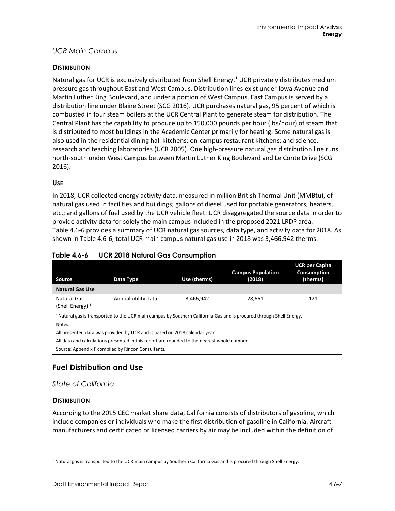# *UCR Main Campus*

#### **DISTRIBUTION**

Natural gas for UCR is exclusively distributed from Shell Energy.<sup>[1](#page-6-1)</sup> UCR privately distributes medium pressure gas throughout East and West Campus. Distribution lines exist under Iowa Avenue and Martin Luther King Boulevard, and under a portion of West Campus. East Campus is served by a distribution line under Blaine Street (SCG 2016). UCR purchases natural gas, 95 percent of which is combusted in four steam boilers at the UCR Central Plant to generate steam for distribution. The Central Plant has the capability to produce up to 150,000 pounds per hour (lbs/hour) of steam that is distributed to most buildings in the Academic Center primarily for heating. Some natural gas is also used in the residential dining hall kitchens; on-campus restaurant kitchens; and science, research and teaching laboratories (UCR 2005). One high-pressure natural gas distribution line runs north-south under West Campus between Martin Luther King Boulevard and Le Conte Drive (SCG 2016).

#### **USE**

In 2018, UCR collected energy activity data, measured in million British Thermal Unit (MMBtu), of natural gas used in facilities and buildings; gallons of diesel used for portable generators, heaters, etc.; and gallons of fuel used by the UCR vehicle fleet. UCR disaggregated the source data in order to provide activity data for solely the main campus included in the proposed 2021 LRDP area. [Table](#page-6-0) 4.6-6 provides a summary of UCR natural gas sources, data type, and activity data for 2018. As shown in [Table](#page-6-0) 4.6-6, total UCR main campus natural gas use in 2018 was 3,466,942 therms.

| Source                            | Data Type           | Use (therms) | <b>Campus Population</b><br>(2018) | UCR per Capita<br>Consumption<br>(therms) |
|-----------------------------------|---------------------|--------------|------------------------------------|-------------------------------------------|
| <b>Natural Gas Use</b>            |                     |              |                                    |                                           |
| Natural Gas<br>(Shell Energy) $1$ | Annual utility data | 3,466,942    | 28,661                             | 121                                       |

#### <span id="page-6-0"></span>**Table 4.6-6 UCR 2018 Natural Gas Consumption**

<sup>1</sup> Natural gas is transported to the UCR main campus by Southern California Gas and is procured through Shell Energy. Notes:

All presented data was provided by UCR and is based on 2018 calendar year.

All data and calculations presented in this report are rounded to the nearest whole number.

Source: Appendix F compiled by Rincon Consultants.

# **Fuel Distribution and Use**

#### *State of California*

#### **DISTRIBUTION**

According to the 2015 CEC market share data, California consists of distributors of gasoline, which include companies or individuals who make the first distribution of gasoline in California. Aircraft manufacturers and certificated or licensed carriers by air may be included within the definition of

<span id="page-6-1"></span><sup>&</sup>lt;sup>1</sup> Natural gas is transported to the UCR main campus by Southern California Gas and is procured through Shell Energy.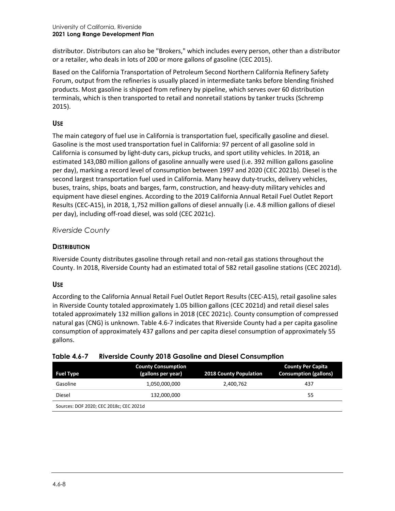distributor. Distributors can also be "Brokers," which includes every person, other than a distributor or a retailer, who deals in lots of 200 or more gallons of gasoline (CEC 2015).

Based on the California Transportation of Petroleum Second Northern California Refinery Safety Forum, output from the refineries is usually placed in intermediate tanks before blending finished products. Most gasoline is shipped from refinery by pipeline, which serves over 60 distribution terminals, which is then transported to retail and nonretail stations by tanker trucks (Schremp 2015).

#### **USE**

The main category of fuel use in California is transportation fuel, specifically gasoline and diesel. Gasoline is the most used transportation fuel in California: 97 percent of all gasoline sold in California is consumed by light-duty cars, pickup trucks, and sport utility vehicles. In 2018, an estimated 143,080 million gallons of gasoline annually were used (i.e. 392 million gallons gasoline per day), marking a record level of consumption between 1997 and 2020 (CEC 2021b). Diesel is the second largest transportation fuel used in California. Many heavy duty-trucks, delivery vehicles, buses, trains, ships, boats and barges, farm, construction, and heavy-duty military vehicles and equipment have diesel engines. According to the 2019 California Annual Retail Fuel Outlet Report Results (CEC-A15), in 2018, 1,752 million gallons of diesel annually (i.e. 4.8 million gallons of diesel per day), including off-road diesel, was sold (CEC 2021c).

### *Riverside County*

#### **DISTRIBUTION**

Riverside County distributes gasoline through retail and non-retail gas stations throughout the County. In 2018, Riverside County had an estimated total of 582 retail gasoline stations (CEC 2021d).

#### **USE**

According to the California Annual Retail Fuel Outlet Report Results (CEC-A15), retail gasoline sales in Riverside County totaled approximately 1.05 billion gallons (CEC 2021d) and retail diesel sales totaled approximately 132 million gallons in 2018 (CEC 2021c). County consumption of compressed natural gas (CNG) is unknown[. Table 4.6-7](#page-7-0) indicates that Riverside County had a per capita gasoline consumption of approximately 437 gallons and per capita diesel consumption of approximately 55 gallons.

#### <span id="page-7-0"></span>**Table 4.6-7 Riverside County 2018 Gasoline and Diesel Consumption**

| <b>Fuel Type</b>                        | <b>County Consumption</b><br>(gallons per year) | <b>2018 County Population</b> | <b>County Per Capita</b><br><b>Consumption (gallons)</b> |
|-----------------------------------------|-------------------------------------------------|-------------------------------|----------------------------------------------------------|
| Gasoline                                | 1,050,000,000                                   | 2,400,762                     | 437                                                      |
| Diesel                                  | 132,000,000                                     |                               | 55                                                       |
| Sources: DOF 2020; CEC 2018c; CEC 2021d |                                                 |                               |                                                          |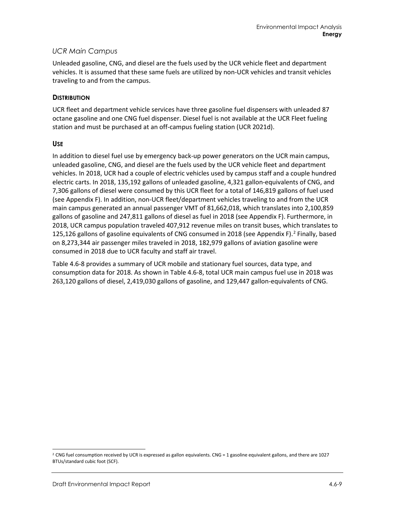### *UCR Main Campus*

Unleaded gasoline, CNG, and diesel are the fuels used by the UCR vehicle fleet and department vehicles. It is assumed that these same fuels are utilized by non-UCR vehicles and transit vehicles traveling to and from the campus.

#### **DISTRIBUTION**

UCR fleet and department vehicle services have three gasoline fuel dispensers with unleaded 87 octane gasoline and one CNG fuel dispenser. Diesel fuel is not available at the UCR Fleet fueling station and must be purchased at an off-campus fueling station (UCR 2021d).

#### **USE**

In addition to diesel fuel use by emergency back-up power generators on the UCR main campus, unleaded gasoline, CNG, and diesel are the fuels used by the UCR vehicle fleet and department vehicles. In 2018, UCR had a couple of electric vehicles used by campus staff and a couple hundred electric carts. In 2018, 135,192 gallons of unleaded gasoline, 4,321 gallon-equivalents of CNG, and 7,306 gallons of diesel were consumed by this UCR fleet for a total of 146,819 gallons of fuel used (see Appendix F). In addition, non-UCR fleet/department vehicles traveling to and from the UCR main campus generated an annual passenger VMT of 81,662,018, which translates into 2,100,859 gallons of gasoline and 247,811 gallons of diesel as fuel in 2018 (see Appendix F). Furthermore, in 2018, UCR campus population traveled 407,912 revenue miles on transit buses, which translates to 1[2](#page-8-0)5,126 gallons of gasoline equivalents of CNG consumed in 2018 (see Appendix F).<sup>2</sup> Finally, based on 8,273,344 air passenger miles traveled in 2018, 182,979 gallons of aviation gasoline were consumed in 2018 due to UCR faculty and staff air travel.

[Table 4.6-8](#page-9-0) provides a summary of UCR mobile and stationary fuel sources, data type, and consumption data for 2018. As shown in [Table 4.6-8,](#page-9-0) total UCR main campus fuel use in 2018 was 263,120 gallons of diesel, 2,419,030 gallons of gasoline, and 129,447 gallon-equivalents of CNG.

<span id="page-8-0"></span><sup>&</sup>lt;sup>2</sup> CNG fuel consumption received by UCR is expressed as gallon equivalents. CNG = 1 gasoline equivalent gallons, and there are 1027 BTUs/standard cubic foot (SCF).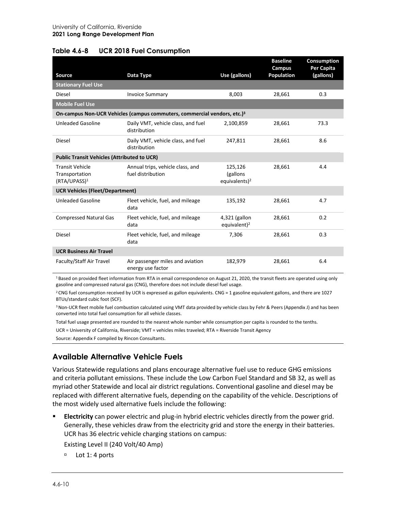#### <span id="page-9-0"></span>**Table 4.6-8 UCR 2018 Fuel Consumption**

|                                                                      |                                                                                      |                                                  | <b>Baseline</b><br>Campus | Consumption<br>Per Capita |
|----------------------------------------------------------------------|--------------------------------------------------------------------------------------|--------------------------------------------------|---------------------------|---------------------------|
| Source<br><b>Stationary Fuel Use</b>                                 | Data Type                                                                            | Use (gallons)                                    | <b>Population</b>         | (gallons)                 |
| Diesel                                                               |                                                                                      | 8,003                                            | 28,661                    | 0.3                       |
|                                                                      | <b>Invoice Summary</b>                                                               |                                                  |                           |                           |
| <b>Mobile Fuel Use</b>                                               |                                                                                      |                                                  |                           |                           |
|                                                                      | On-campus Non-UCR Vehicles (campus commuters, commercial vendors, etc.) <sup>3</sup> |                                                  |                           |                           |
| <b>Unleaded Gasoline</b>                                             | Daily VMT, vehicle class, and fuel<br>distribution                                   | 2,100,859                                        | 28,661                    | 73.3                      |
| Diesel                                                               | Daily VMT, vehicle class, and fuel<br>distribution                                   | 247,811                                          | 28,661                    | 8.6                       |
| <b>Public Transit Vehicles (Attributed to UCR)</b>                   |                                                                                      |                                                  |                           |                           |
| <b>Transit Vehicle</b><br>Transportation<br>(RTA/UPASS) <sup>1</sup> | Annual trips, vehicle class, and<br>fuel distribution                                | 125,126<br>(gallons<br>equivalents) <sup>2</sup> | 28,661                    | 4.4                       |
| <b>UCR Vehicles (Fleet/Department)</b>                               |                                                                                      |                                                  |                           |                           |
| <b>Unleaded Gasoline</b>                                             | Fleet vehicle, fuel, and mileage<br>data                                             | 135,192                                          | 28,661                    | 4.7                       |
| <b>Compressed Natural Gas</b>                                        | Fleet vehicle, fuel, and mileage<br>data                                             | 4,321 (gallon<br>equivalent) <sup>2</sup>        | 28,661                    | 0.2                       |
| Diesel                                                               | Fleet vehicle, fuel, and mileage<br>data                                             | 7,306                                            | 28,661                    | 0.3                       |
| <b>UCR Business Air Travel</b>                                       |                                                                                      |                                                  |                           |                           |
| Faculty/Staff Air Travel                                             | Air passenger miles and aviation<br>energy use factor                                | 182,979                                          | 28,661                    | 6.4                       |

1 Based on provided fleet information from RTA in email correspondence on August 21, 2020, the transit fleets are operated using only gasoline and compressed natural gas (CNG), therefore does not include diesel fuel usage.

 $2$  CNG fuel consumption received by UCR is expressed as gallon equivalents. CNG = 1 gasoline equivalent gallons, and there are 1027 BTUs/standard cubic foot (SCF).

<sup>3</sup> Non-UCR fleet mobile fuel combustion calculated using VMT data provided by vehicle class by Fehr & Peers (Appendix J) and has been converted into total fuel consumption for all vehicle classes.

Total fuel usage presented are rounded to the nearest whole number while consumption per capita is rounded to the tenths.

UCR = University of California, Riverside; VMT = vehicles miles traveled; RTA = Riverside Transit Agency

Source: Appendix F compiled by Rincon Consultants.

# **Available Alternative Vehicle Fuels**

Various Statewide regulations and plans encourage alternative fuel use to reduce GHG emissions and criteria pollutant emissions. These include the Low Carbon Fuel Standard and SB 32, as well as myriad other Statewide and local air district regulations. Conventional gasoline and diesel may be replaced with different alternative fuels, depending on the capability of the vehicle. Descriptions of the most widely used alternative fuels include the following:

 **Electricity** can power electric and plug-in hybrid electric vehicles directly from the power grid. Generally, these vehicles draw from the electricity grid and store the energy in their batteries. UCR has 36 electric vehicle charging stations on campus:

Existing Level II (240 Volt/40 Amp)

 $D =$ Lot 1:4 ports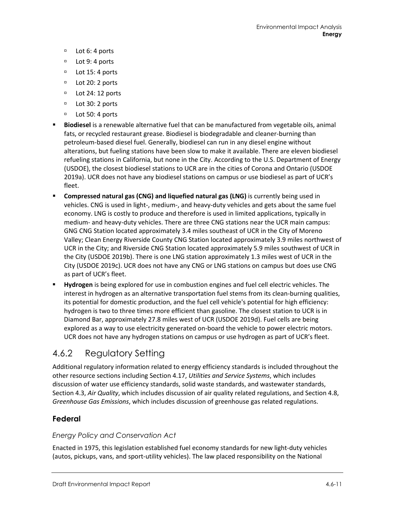- Lot 6: 4 ports
- D Lot 9: 4 ports
- D Lot 15:4 ports
- D Lot 20: 2 ports
- D Lot 24: 12 ports
- □ Lot 30: 2 ports
- □ Lot 50: 4 ports
- **Biodiesel** is a renewable alternative fuel that can be manufactured from vegetable oils, animal fats, or recycled restaurant grease. Biodiesel is biodegradable and cleaner-burning than petroleum-based diesel fuel. Generally, biodiesel can run in any diesel engine without alterations, but fueling stations have been slow to make it available. There are eleven biodiesel refueling stations in California, but none in the City. According to the U.S. Department of Energy (USDOE), the closest biodiesel stations to UCR are in the cities of Corona and Ontario (USDOE 2019a). UCR does not have any biodiesel stations on campus or use biodiesel as part of UCR's fleet.
- **Compressed natural gas (CNG) and liquefied natural gas (LNG)** is currently being used in vehicles. CNG is used in light-, medium-, and heavy-duty vehicles and gets about the same fuel economy. LNG is costly to produce and therefore is used in limited applications, typically in medium- and heavy-duty vehicles. There are three CNG stations near the UCR main campus: GNG CNG Station located approximately 3.4 miles southeast of UCR in the City of Moreno Valley; Clean Energy Riverside County CNG Station located approximately 3.9 miles northwest of UCR in the City; and Riverside CNG Station located approximately 5.9 miles southwest of UCR in the City (USDOE 2019b). There is one LNG station approximately 1.3 miles west of UCR in the City (USDOE 2019c). UCR does not have any CNG or LNG stations on campus but does use CNG as part of UCR's fleet.
- **Hydrogen** is being explored for use in combustion engines and fuel cell electric vehicles. The interest in hydrogen as an alternative transportation fuel stems from its clean-burning qualities, its potential for domestic production, and the fuel cell vehicle's potential for high efficiency: hydrogen is two to three times more efficient than gasoline. The closest station to UCR is in Diamond Bar, approximately 27.8 miles west of UCR (USDOE 2019d). Fuel cells are being explored as a way to use electricity generated on-board the vehicle to power electric motors. UCR does not have any hydrogen stations on campus or use hydrogen as part of UCR's fleet.

# 4.6.2 Regulatory Setting

Additional regulatory information related to energy efficiency standards is included throughout the other resource sections including Section 4.17, *Utilities and Service Systems*, which includes discussion of water use efficiency standards, solid waste standards, and wastewater standards, Section 4.3, *Air Quality*, which includes discussion of air quality related regulations, and Section 4.8, *Greenhouse Gas Emissions*, which includes discussion of greenhouse gas related regulations.

# **Federal**

# *Energy Policy and Conservation Act*

Enacted in 1975, this legislation established fuel economy standards for new light-duty vehicles (autos, pickups, vans, and sport-utility vehicles). The law placed responsibility on the National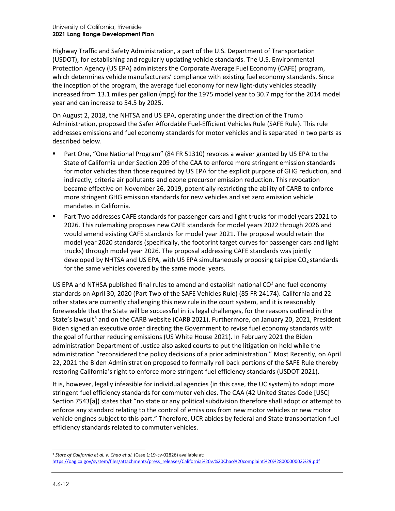Highway Traffic and Safety Administration, a part of the U.S. Department of Transportation (USDOT), for establishing and regularly updating vehicle standards. The U.S. Environmental Protection Agency (US EPA) administers the Corporate Average Fuel Economy (CAFE) program, which determines vehicle manufacturers' compliance with existing fuel economy standards. Since the inception of the program, the average fuel economy for new light-duty vehicles steadily increased from 13.1 miles per gallon (mpg) for the 1975 model year to 30.7 mpg for the 2014 model year and can increase to 54.5 by 2025.

On August 2, 2018, the NHTSA and US EPA, operating under the direction of the Trump Administration, proposed the Safer Affordable Fuel-Efficient Vehicles Rule (SAFE Rule). This rule addresses emissions and fuel economy standards for motor vehicles and is separated in two parts as described below.

- Part One, "One National Program" (84 FR 51310) revokes a waiver granted by US EPA to the State of California under Section 209 of the CAA to enforce more stringent emission standards for motor vehicles than those required by US EPA for the explicit purpose of GHG reduction, and indirectly, criteria air pollutants and ozone precursor emission reduction. This revocation became effective on November 26, 2019, potentially restricting the ability of CARB to enforce more stringent GHG emission standards for new vehicles and set zero emission vehicle mandates in California.
- Part Two addresses CAFE standards for passenger cars and light trucks for model years 2021 to 2026. This rulemaking proposes new CAFE standards for model years 2022 through 2026 and would amend existing CAFE standards for model year 2021. The proposal would retain the model year 2020 standards (specifically, the footprint target curves for passenger cars and light trucks) through model year 2026. The proposal addressing CAFE standards was jointly developed by NHTSA and US EPA, with US EPA simultaneously proposing tailpipe  $CO<sub>2</sub>$  standards for the same vehicles covered by the same model years.

US EPA and NTHSA published final rules to amend and establish national  $CO<sup>2</sup>$  and fuel economy standards on April 30, 2020 (Part Two of the SAFE Vehicles Rule) (85 FR 24174). California and 22 other states are currently challenging this new rule in the court system, and it is reasonably foreseeable that the State will be successful in its legal challenges, for the reasons outlined in the State's lawsuit<sup>[3](#page-11-0)</sup> and on the CARB website (CARB 2021). Furthermore, on January 20, 2021, President Biden signed an executive order directing the Government to revise fuel economy standards with the goal of further reducing emissions (US White House 2021). In February 2021 the Biden administration Department of Justice also asked courts to put the litigation on hold while the administration "reconsidered the policy decisions of a prior administration." Most Recently, on April 22, 2021 the Biden Administration proposed to formally roll back portions of the SAFE Rule thereby restoring California's right to enforce more stringent fuel efficiency standards (USDOT 2021).

It is, however, legally infeasible for individual agencies (in this case, the UC system) to adopt more stringent fuel efficiency standards for commuter vehicles. The CAA (42 United States Code [USC] Section 7543[a]) states that "no state or any political subdivision therefore shall adopt or attempt to enforce any standard relating to the control of emissions from new motor vehicles or new motor vehicle engines subject to this part." Therefore, UCR abides by federal and State transportation fuel efficiency standards related to commuter vehicles.

<span id="page-11-0"></span><sup>&</sup>lt;sup>3</sup> State of California et al. v. Chao et al. (Case 1:19-cv-02826) available at: [https://oag.ca.gov/system/files/attachments/press\\_releases/California%20v.%20Chao%20complaint%20%2800000002%29.pdf](https://oag.ca.gov/system/files/attachments/press_releases/California%20v.%20Chao%20complaint%20%2800000002%29.pdf)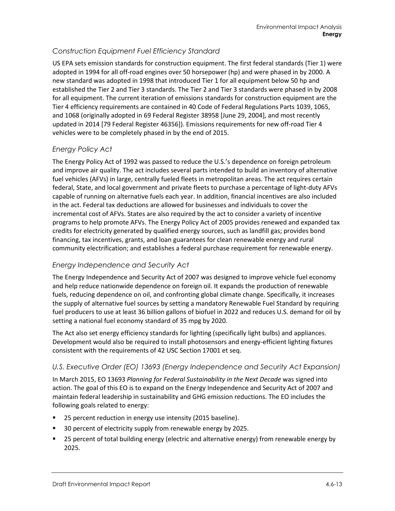# *Construction Equipment Fuel Efficiency Standard*

US EPA sets emission standards for construction equipment. The first federal standards (Tier 1) were adopted in 1994 for all off-road engines over 50 horsepower (hp) and were phased in by 2000. A new standard was adopted in 1998 that introduced Tier 1 for all equipment below 50 hp and established the Tier 2 and Tier 3 standards. The Tier 2 and Tier 3 standards were phased in by 2008 for all equipment. The current iteration of emissions standards for construction equipment are the Tier 4 efficiency requirements are contained in 40 Code of Federal Regulations Parts 1039, 1065, and 1068 (originally adopted in 69 Federal Register 38958 [June 29, 2004], and most recently updated in 2014 [79 Federal Register 46356]). Emissions requirements for new off-road Tier 4 vehicles were to be completely phased in by the end of 2015.

# *Energy Policy Act*

The Energy Policy Act of 1992 was passed to reduce the U.S.'s dependence on foreign petroleum and improve air quality. The act includes several parts intended to build an inventory of alternative fuel vehicles (AFVs) in large, centrally fueled fleets in metropolitan areas. The act requires certain federal, State, and local government and private fleets to purchase a percentage of light-duty AFVs capable of running on alternative fuels each year. In addition, financial incentives are also included in the act. Federal tax deductions are allowed for businesses and individuals to cover the incremental cost of AFVs. States are also required by the act to consider a variety of incentive programs to help promote AFVs. The Energy Policy Act of 2005 provides renewed and expanded tax credits for electricity generated by qualified energy sources, such as landfill gas; provides bond financing, tax incentives, grants, and loan guarantees for clean renewable energy and rural community electrification; and establishes a federal purchase requirement for renewable energy.

# *Energy Independence and Security Act*

The Energy Independence and Security Act of 2007 was designed to improve vehicle fuel economy and help reduce nationwide dependence on foreign oil. It expands the production of renewable fuels, reducing dependence on oil, and confronting global climate change. Specifically, it increases the supply of alternative fuel sources by setting a mandatory Renewable Fuel Standard by requiring fuel producers to use at least 36 billion gallons of biofuel in 2022 and reduces U.S. demand for oil by setting a national fuel economy standard of 35 mpg by 2020.

The Act also set energy efficiency standards for lighting (specifically light bulbs) and appliances. Development would also be required to install photosensors and energy-efficient lighting fixtures consistent with the requirements of 42 USC Section 17001 et seq.

# *U.S. Executive Order (EO) 13693 (Energy Independence and Security Act Expansion)*

In March 2015, EO 13693 *Planning for Federal Sustainability in the Next Decade* was signed into action. The goal of this EO is to expand on the Energy Independence and Security Act of 2007 and maintain federal leadership in sustainability and GHG emission reductions. The EO includes the following goals related to energy:

- 25 percent reduction in energy use intensity (2015 baseline).
- 30 percent of electricity supply from renewable energy by 2025.
- **25 percent of total building energy (electric and alternative energy) from renewable energy by** 2025.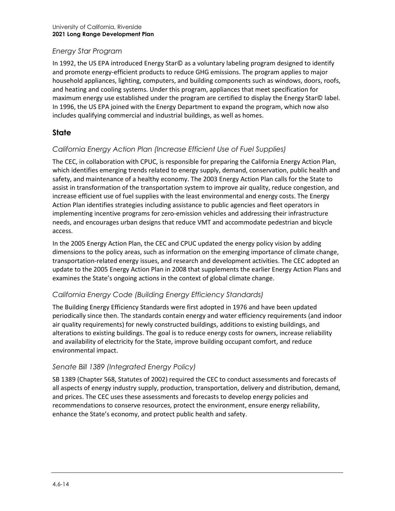### *Energy Star Program*

In 1992, the US EPA introduced Energy Star© as a voluntary labeling program designed to identify and promote energy-efficient products to reduce GHG emissions. The program applies to major household appliances, lighting, computers, and building components such as windows, doors, roofs, and heating and cooling systems. Under this program, appliances that meet specification for maximum energy use established under the program are certified to display the Energy Star© label. In 1996, the US EPA joined with the Energy Department to expand the program, which now also includes qualifying commercial and industrial buildings, as well as homes.

# **State**

# *California Energy Action Plan (Increase Efficient Use of Fuel Supplies)*

The CEC, in collaboration with CPUC, is responsible for preparing the California Energy Action Plan, which identifies emerging trends related to energy supply, demand, conservation, public health and safety, and maintenance of a healthy economy. The 2003 Energy Action Plan calls for the State to assist in transformation of the transportation system to improve air quality, reduce congestion, and increase efficient use of fuel supplies with the least environmental and energy costs. The Energy Action Plan identifies strategies including assistance to public agencies and fleet operators in implementing incentive programs for zero-emission vehicles and addressing their infrastructure needs, and encourages urban designs that reduce VMT and accommodate pedestrian and bicycle access.

In the 2005 Energy Action Plan, the CEC and CPUC updated the energy policy vision by adding dimensions to the policy areas, such as information on the emerging importance of climate change, transportation-related energy issues, and research and development activities. The CEC adopted an update to the 2005 Energy Action Plan in 2008 that supplements the earlier Energy Action Plans and examines the State's ongoing actions in the context of global climate change.

# *California Energy Code (Building Energy Efficiency Standards)*

The Building Energy Efficiency Standards were first adopted in 1976 and have been updated periodically since then. The standards contain energy and water efficiency requirements (and indoor air quality requirements) for newly constructed buildings, additions to existing buildings, and alterations to existing buildings. The goal is to reduce energy costs for owners, increase reliability and availability of electricity for the State, improve building occupant comfort, and reduce environmental impact.

#### *Senate Bill 1389 (Integrated Energy Policy)*

SB 1389 (Chapter 568, Statutes of 2002) required the CEC to conduct assessments and forecasts of all aspects of energy industry supply, production, transportation, delivery and distribution, demand, and prices. The CEC uses these assessments and forecasts to develop energy policies and recommendations to conserve resources, protect the environment, ensure energy reliability, enhance the State's economy, and protect public health and safety.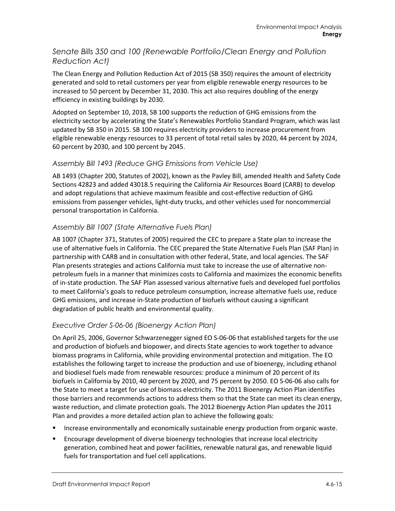# *Senate Bills 350 and 100 (Renewable Portfolio/Clean Energy and Pollution Reduction Act)*

The Clean Energy and Pollution Reduction Act of 2015 (SB 350) requires the amount of electricity generated and sold to retail customers per year from eligible renewable energy resources to be increased to 50 percent by December 31, 2030. This act also requires doubling of the energy efficiency in existing buildings by 2030.

Adopted on September 10, 2018, SB 100 supports the reduction of GHG emissions from the electricity sector by accelerating the State's Renewables Portfolio Standard Program, which was last updated by SB 350 in 2015. SB 100 requires electricity providers to increase procurement from eligible renewable energy resources to 33 percent of total retail sales by 2020, 44 percent by 2024, 60 percent by 2030, and 100 percent by 2045.

# *Assembly Bill 1493 (Reduce GHG Emissions from Vehicle Use)*

AB 1493 (Chapter 200, Statutes of 2002), known as the Pavley Bill, amended Health and Safety Code Sections 42823 and added 43018.5 requiring the California Air Resources Board (CARB) to develop and adopt regulations that achieve maximum feasible and cost-effective reduction of GHG emissions from passenger vehicles, light-duty trucks, and other vehicles used for noncommercial personal transportation in California.

# *Assembly Bill 1007 (State Alternative Fuels Plan)*

AB 1007 (Chapter 371, Statutes of 2005) required the CEC to prepare a State plan to increase the use of alternative fuels in California. The CEC prepared the State Alternative Fuels Plan (SAF Plan) in partnership with CARB and in consultation with other federal, State, and local agencies. The SAF Plan presents strategies and actions California must take to increase the use of alternative nonpetroleum fuels in a manner that minimizes costs to California and maximizes the economic benefits of in-state production. The SAF Plan assessed various alternative fuels and developed fuel portfolios to meet California's goals to reduce petroleum consumption, increase alternative fuels use, reduce GHG emissions, and increase in-State production of biofuels without causing a significant degradation of public health and environmental quality.

# *Executive Order S-06-06 (Bioenergy Action Plan)*

On April 25, 2006, Governor Schwarzenegger signed EO S-06-06 that established targets for the use and production of biofuels and biopower, and directs State agencies to work together to advance biomass programs in California, while providing environmental protection and mitigation. The EO establishes the following target to increase the production and use of bioenergy, including ethanol and biodiesel fuels made from renewable resources: produce a minimum of 20 percent of its biofuels in California by 2010, 40 percent by 2020, and 75 percent by 2050. EO S-06-06 also calls for the State to meet a target for use of biomass electricity. The 2011 Bioenergy Action Plan identifies those barriers and recommends actions to address them so that the State can meet its clean energy, waste reduction, and climate protection goals. The 2012 Bioenergy Action Plan updates the 2011 Plan and provides a more detailed action plan to achieve the following goals:

- Increase environmentally and economically sustainable energy production from organic waste.
- Encourage development of diverse bioenergy technologies that increase local electricity generation, combined heat and power facilities, renewable natural gas, and renewable liquid fuels for transportation and fuel cell applications.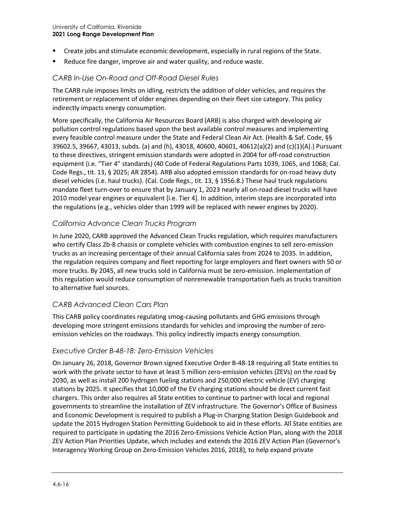- Create jobs and stimulate economic development, especially in rural regions of the State.
- Reduce fire danger, improve air and water quality, and reduce waste.

### *CARB In-Use On-Road and Off-Road Diesel Rules*

The CARB rule imposes limits on idling, restricts the addition of older vehicles, and requires the retirement or replacement of older engines depending on their fleet size category. This policy indirectly impacts energy consumption.

More specifically, the California Air Resources Board (ARB) is also charged with developing air pollution control regulations based upon the best available control measures and implementing every feasible control measure under the State and Federal Clean Air Act. (Health & Saf. Code, §§ 39602.5, 39667, 43013, subds. (a) and (h), 43018, 40600, 40601, 40612(a)(2) and (c)(1)(A).) Pursuant to these directives, stringent emission standards were adopted in 2004 for off-road construction equipment (i.e. "Tier 4" standards) (40 Code of Federal Regulations Parts 1039, 1065, and 1068; Cal. Code Regs., tit. 13, § 2025; AR 2854). ARB also adopted emission standards for on-road heavy duty diesel vehicles (i.e. haul trucks). (Cal. Code Regs., tit. 13, § 1956.8.) These haul truck regulations mandate fleet turn-over to ensure that by January 1, 2023 nearly all on-road diesel trucks will have 2010 model year engines or equivalent [i.e. Tier 4]. In addition, interim steps are incorporated into the regulations (e.g., vehicles older than 1999 will be replaced with newer engines by 2020).

#### *California Advance Clean Trucks Program*

In June 2020, CARB approved the Advanced Clean Trucks regulation, which requires manufacturers who certify Class 2b-8 chassis or complete vehicles with combustion engines to sell zero-emission trucks as an increasing percentage of their annual California sales from 2024 to 2035. In addition, the regulation requires company and fleet reporting for large employers and fleet owners with 50 or more trucks. By 2045, all new trucks sold in California must be zero-emission. Implementation of this regulation would reduce consumption of nonrenewable transportation fuels as trucks transition to alternative fuel sources.

#### *CARB Advanced Clean Cars Plan*

This CARB policy coordinates regulating smog-causing pollutants and GHG emissions through developing more stringent emissions standards for vehicles and improving the number of zeroemission vehicles on the roadways. This policy indirectly impacts energy consumption.

#### *Executive Order B-48-18: Zero-Emission Vehicles*

On January 26, 2018, Governor Brown signed Executive Order B-48-18 requiring all State entities to work with the private sector to have at least 5 million zero-emission vehicles (ZEVs) on the road by 2030, as well as install 200 hydrogen fueling stations and 250,000 electric vehicle (EV) charging stations by 2025. It specifies that 10,000 of the EV charging stations should be direct current fast chargers. This order also requires all State entities to continue to partner with local and regional governments to streamline the installation of ZEV infrastructure. The Governor's Office of Business and Economic Development is required to publish a Plug-in Charging Station Design Guidebook and update the 2015 Hydrogen Station Permitting Guidebook to aid in these efforts. All State entities are required to participate in updating the 2016 Zero-Emissions Vehicle Action Plan, along with the 2018 ZEV Action Plan Priorities Update, which includes and extends the 2016 ZEV Action Plan (Governor's Interagency Working Group on Zero-Emission Vehicles 2016, 2018), to help expand private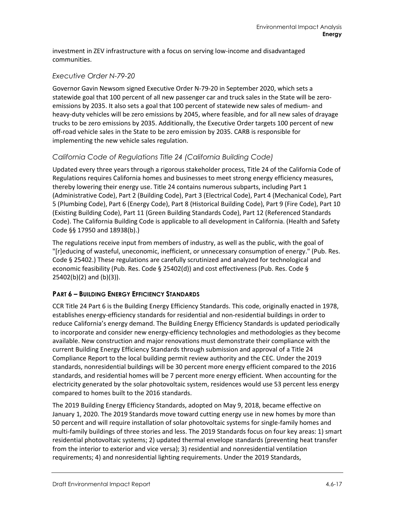investment in ZEV infrastructure with a focus on serving low-income and disadvantaged communities.

### *Executive Order N-79-20*

Governor Gavin Newsom signed Executive Order N-79-20 in September 2020, which sets a statewide goal that 100 percent of all new passenger car and truck sales in the State will be zeroemissions by 2035. It also sets a goal that 100 percent of statewide new sales of medium- and heavy-duty vehicles will be zero emissions by 2045, where feasible, and for all new sales of drayage trucks to be zero emissions by 2035. Additionally, the Executive Order targets 100 percent of new off-road vehicle sales in the State to be zero emission by 2035. CARB is responsible for implementing the new vehicle sales regulation.

### *California Code of Regulations Title 24 (California Building Code)*

Updated every three years through a rigorous stakeholder process, Title 24 of the California Code of Regulations requires California homes and businesses to meet strong energy efficiency measures, thereby lowering their energy use. Title 24 contains numerous subparts, including Part 1 (Administrative Code), Part 2 (Building Code), Part 3 (Electrical Code), Part 4 (Mechanical Code), Part 5 (Plumbing Code), Part 6 (Energy Code), Part 8 (Historical Building Code), Part 9 (Fire Code), Part 10 (Existing Building Code), Part 11 (Green Building Standards Code), Part 12 (Referenced Standards Code). The California Building Code is applicable to all development in California. (Health and Safety Code §§ 17950 and 18938(b).)

The regulations receive input from members of industry, as well as the public, with the goal of "[r]educing of wasteful, uneconomic, inefficient, or unnecessary consumption of energy." (Pub. Res. Code § 25402.) These regulations are carefully scrutinized and analyzed for technological and economic feasibility (Pub. Res. Code § 25402(d)) and cost effectiveness (Pub. Res. Code § 25402(b)(2) and (b)(3)).

# **PART 6 – BUILDING ENERGY EFFICIENCY STANDARDS**

CCR Title 24 Part 6 is the Building Energy Efficiency Standards. This code, originally enacted in 1978, establishes energy-efficiency standards for residential and non-residential buildings in order to reduce California's energy demand. The Building Energy Efficiency Standards is updated periodically to incorporate and consider new energy-efficiency technologies and methodologies as they become available. New construction and major renovations must demonstrate their compliance with the current Building Energy Efficiency Standards through submission and approval of a Title 24 Compliance Report to the local building permit review authority and the CEC. Under the 2019 standards, nonresidential buildings will be 30 percent more energy efficient compared to the 2016 standards, and residential homes will be 7 percent more energy efficient. When accounting for the electricity generated by the solar photovoltaic system, residences would use 53 percent less energy compared to homes built to the 2016 standards.

The 2019 Building Energy Efficiency Standards, adopted on May 9, 2018, became effective on January 1, 2020. The 2019 Standards move toward cutting energy use in new homes by more than 50 percent and will require installation of solar photovoltaic systems for single-family homes and multi-family buildings of three stories and less. The 2019 Standards focus on four key areas: 1) smart residential photovoltaic systems; 2) updated thermal envelope standards (preventing heat transfer from the interior to exterior and vice versa); 3) residential and nonresidential ventilation requirements; 4) and nonresidential lighting requirements. Under the 2019 Standards,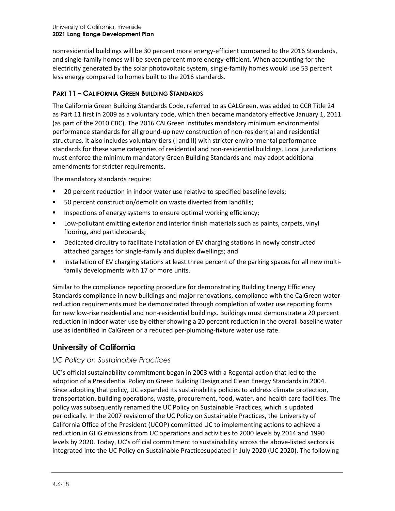nonresidential buildings will be 30 percent more energy-efficient compared to the 2016 Standards, and single-family homes will be seven percent more energy-efficient. When accounting for the electricity generated by the solar photovoltaic system, single-family homes would use 53 percent less energy compared to homes built to the 2016 standards.

### **PART 11 – CALIFORNIA GREEN BUILDING STANDARDS**

The California Green Building Standards Code, referred to as CALGreen, was added to CCR Title 24 as Part 11 first in 2009 as a voluntary code, which then became mandatory effective January 1, 2011 (as part of the 2010 CBC). The 2016 CALGreen institutes mandatory minimum environmental performance standards for all ground-up new construction of non-residential and residential structures. It also includes voluntary tiers (I and II) with stricter environmental performance standards for these same categories of residential and non-residential buildings. Local jurisdictions must enforce the minimum mandatory Green Building Standards and may adopt additional amendments for stricter requirements.

The mandatory standards require:

- **20 percent reduction in indoor water use relative to specified baseline levels;**
- 50 percent construction/demolition waste diverted from landfills;
- **Inspections of energy systems to ensure optimal working efficiency;**
- **UDIT** Low-pollutant emitting exterior and interior finish materials such as paints, carpets, vinyl flooring, and particleboards;
- **•** Dedicated circuitry to facilitate installation of EV charging stations in newly constructed attached garages for single-family and duplex dwellings; and
- Installation of EV charging stations at least three percent of the parking spaces for all new multifamily developments with 17 or more units.

Similar to the compliance reporting procedure for demonstrating Building Energy Efficiency Standards compliance in new buildings and major renovations, compliance with the CalGreen waterreduction requirements must be demonstrated through completion of water use reporting forms for new low-rise residential and non-residential buildings. Buildings must demonstrate a 20 percent reduction in indoor water use by either showing a 20 percent reduction in the overall baseline water use as identified in CalGreen or a reduced per-plumbing-fixture water use rate.

# **University of California**

#### *UC Policy on Sustainable Practices*

UC's official sustainability commitment began in 2003 with a Regental action that led to the adoption of a Presidential Policy on Green Building Design and Clean Energy Standards in 2004. Since adopting that policy, UC expanded its sustainability policies to address climate protection, transportation, building operations, waste, procurement, food, water, and health care facilities. The policy was subsequently renamed the UC Policy on Sustainable Practices, which is updated periodically. In the 2007 revision of the UC Policy on Sustainable Practices, the University of California Office of the President (UCOP) committed UC to implementing actions to achieve a reduction in GHG emissions from UC operations and activities to 2000 levels by 2014 and 1990 levels by 2020. Today, UC's official commitment to sustainability across the above-listed sectors is integrated into the UC Policy on Sustainable Practicesupdated in July 2020 (UC 2020). The following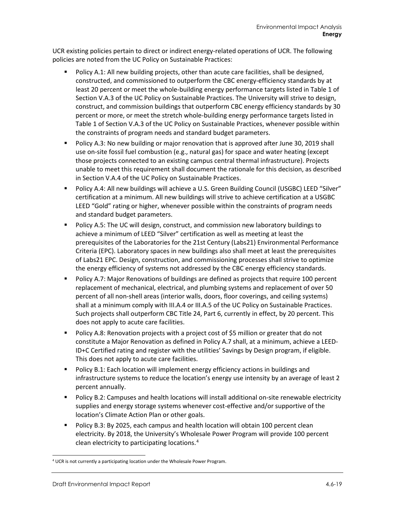UCR existing policies pertain to direct or indirect energy-related operations of UCR. The following policies are noted from the UC Policy on Sustainable Practices:

- **Policy A.1: All new building projects, other than acute care facilities, shall be designed,** constructed, and commissioned to outperform the CBC energy-efficiency standards by at least 20 percent or meet the whole-building energy performance targets listed in Table 1 of Section V.A.3 of the UC Policy on Sustainable Practices. The University will strive to design, construct, and commission buildings that outperform CBC energy efficiency standards by 30 percent or more, or meet the stretch whole-building energy performance targets listed in Table 1 of Section V.A.3 of the UC Policy on Sustainable Practices, whenever possible within the constraints of program needs and standard budget parameters.
- Policy A.3: No new building or major renovation that is approved after June 30, 2019 shall use on-site fossil fuel combustion (e.g., natural gas) for space and water heating (except those projects connected to an existing campus central thermal infrastructure). Projects unable to meet this requirement shall document the rationale for this decision, as described in Section V.A.4 of the UC Policy on Sustainable Practices.
- Policy A.4: All new buildings will achieve a U.S. Green Building Council (USGBC) LEED "Silver" certification at a minimum. All new buildings will strive to achieve certification at a USGBC LEED "Gold" rating or higher, whenever possible within the constraints of program needs and standard budget parameters.
- Policy A.5: The UC will design, construct, and commission new laboratory buildings to achieve a minimum of LEED "Silver" certification as well as meeting at least the prerequisites of the Laboratories for the 21st Century (Labs21) Environmental Performance Criteria (EPC). Laboratory spaces in new buildings also shall meet at least the prerequisites of Labs21 EPC. Design, construction, and commissioning processes shall strive to optimize the energy efficiency of systems not addressed by the CBC energy efficiency standards.
- Policy A.7: Major Renovations of buildings are defined as projects that require 100 percent replacement of mechanical, electrical, and plumbing systems and replacement of over 50 percent of all non-shell areas (interior walls, doors, floor coverings, and ceiling systems) shall at a minimum comply with III.A.4 or III.A.5 of the UC Policy on Sustainable Practices. Such projects shall outperform CBC Title 24, Part 6, currently in effect, by 20 percent. This does not apply to acute care facilities.
- **Policy A.8: Renovation projects with a project cost of \$5 million or greater that do not** constitute a Major Renovation as defined in Policy A.7 shall, at a minimum, achieve a LEED-ID+C Certified rating and register with the utilities' Savings by Design program, if eligible. This does not apply to acute care facilities.
- **Policy B.1: Each location will implement energy efficiency actions in buildings and** infrastructure systems to reduce the location's energy use intensity by an average of least 2 percent annually.
- **Policy B.2: Campuses and health locations will install additional on-site renewable electricity** supplies and energy storage systems whenever cost-effective and/or supportive of the location's Climate Action Plan or other goals.
- **Policy B.3: By 2025, each campus and health location will obtain 100 percent clean** electricity. By 2018, the University's Wholesale Power Program will provide 100 percent clean electricity to participating locations.[4](#page-18-0)

<span id="page-18-0"></span><sup>4</sup> UCR is not currently a participating location under the Wholesale Power Program.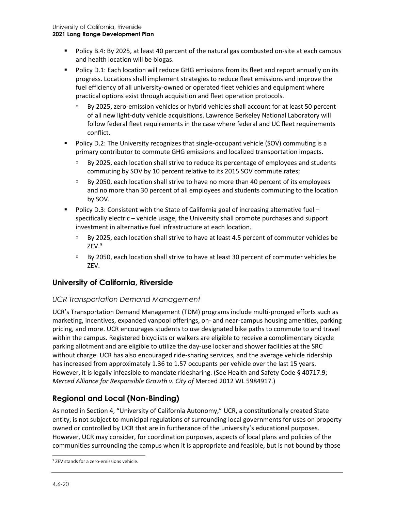- Policy B.4: By 2025, at least 40 percent of the natural gas combusted on-site at each campus and health location will be biogas.
- **Policy D.1: Each location will reduce GHG emissions from its fleet and report annually on its** progress. Locations shall implement strategies to reduce fleet emissions and improve the fuel efficiency of all university-owned or operated fleet vehicles and equipment where practical options exist through acquisition and fleet operation protocols.
	- By 2025, zero-emission vehicles or hybrid vehicles shall account for at least 50 percent of all new light-duty vehicle acquisitions. Lawrence Berkeley National Laboratory will follow federal fleet requirements in the case where federal and UC fleet requirements conflict.
- Policy D.2: The University recognizes that single-occupant vehicle (SOV) commuting is a primary contributor to commute GHG emissions and localized transportation impacts.
	- By 2025, each location shall strive to reduce its percentage of employees and students commuting by SOV by 10 percent relative to its 2015 SOV commute rates;
	- By 2050, each location shall strive to have no more than 40 percent of its employees and no more than 30 percent of all employees and students commuting to the location by SOV.
- Policy D.3: Consistent with the State of California goal of increasing alternative fuel specifically electric – vehicle usage, the University shall promote purchases and support investment in alternative fuel infrastructure at each location.
	- By 2025, each location shall strive to have at least 4.5 percent of commuter vehicles be  $ZEV.<sup>5</sup>$  $ZEV.<sup>5</sup>$  $ZEV.<sup>5</sup>$
	- By 2050, each location shall strive to have at least 30 percent of commuter vehicles be ZEV.

# **University of California, Riverside**

# *UCR Transportation Demand Management*

UCR's Transportation Demand Management (TDM) programs include multi-pronged efforts such as marketing, incentives, expanded vanpool offerings, on- and near-campus housing amenities, parking pricing, and more. UCR encourages students to use designated bike paths to commute to and travel within the campus. Registered bicyclists or walkers are eligible to receive a complimentary bicycle parking allotment and are eligible to utilize the day-use locker and shower facilities at the SRC without charge. UCR has also encouraged ride-sharing services, and the average vehicle ridership has increased from approximately 1.36 to 1.57 occupants per vehicle over the last 15 years. However, it is legally infeasible to mandate ridesharing. (See Health and Safety Code § 40717.9; *Merced Alliance for Responsible Growth v. City of* Merced 2012 WL 5984917.)

# **Regional and Local (Non-Binding)**

As noted in Section 4, "University of California Autonomy," UCR, a constitutionally created State entity, is not subject to municipal regulations of surrounding local governments for uses on property owned or controlled by UCR that are in furtherance of the university's educational purposes. However, UCR may consider, for coordination purposes, aspects of local plans and policies of the communities surrounding the campus when it is appropriate and feasible, but is not bound by those

<span id="page-19-0"></span><sup>5</sup> ZEV stands for a zero-emissions vehicle.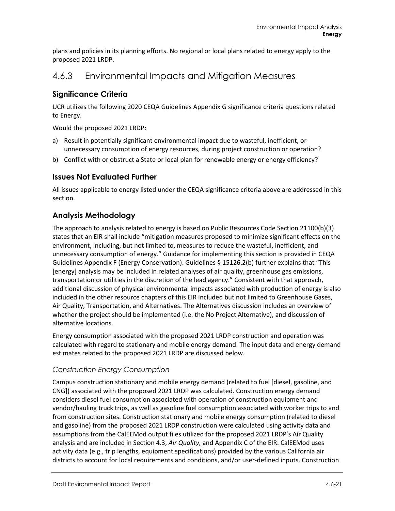plans and policies in its planning efforts. No regional or local plans related to energy apply to the proposed 2021 LRDP.

# 4.6.3 Environmental Impacts and Mitigation Measures

# **Significance Criteria**

UCR utilizes the following 2020 CEQA Guidelines Appendix G significance criteria questions related to Energy.

Would the proposed 2021 LRDP:

- a) Result in potentially significant environmental impact due to wasteful, inefficient, or unnecessary consumption of energy resources, during project construction or operation?
- b) Conflict with or obstruct a State or local plan for renewable energy or energy efficiency?

# **Issues Not Evaluated Further**

All issues applicable to energy listed under the CEQA significance criteria above are addressed in this section.

# **Analysis Methodology**

The approach to analysis related to energy is based on Public Resources Code Section 21100(b)(3) states that an EIR shall include "mitigation measures proposed to minimize significant effects on the environment, including, but not limited to, measures to reduce the wasteful, inefficient, and unnecessary consumption of energy." Guidance for implementing this section is provided in CEQA Guidelines Appendix F (Energy Conservation). Guidelines § 15126.2(b) further explains that "This [energy] analysis may be included in related analyses of air quality, greenhouse gas emissions, transportation or utilities in the discretion of the lead agency." Consistent with that approach, additional discussion of physical environmental impacts associated with production of energy is also included in the other resource chapters of this EIR included but not limited to Greenhouse Gases, Air Quality, Transportation, and Alternatives. The Alternatives discussion includes an overview of whether the project should be implemented (i.e. the No Project Alternative), and discussion of alternative locations.

Energy consumption associated with the proposed 2021 LRDP construction and operation was calculated with regard to stationary and mobile energy demand. The input data and energy demand estimates related to the proposed 2021 LRDP are discussed below.

# *Construction Energy Consumption*

Campus construction stationary and mobile energy demand (related to fuel [diesel, gasoline, and CNG]) associated with the proposed 2021 LRDP was calculated. Construction energy demand considers diesel fuel consumption associated with operation of construction equipment and vendor/hauling truck trips, as well as gasoline fuel consumption associated with worker trips to and from construction sites. Construction stationary and mobile energy consumption (related to diesel and gasoline) from the proposed 2021 LRDP construction were calculated using activity data and assumptions from the CalEEMod output files utilized for the proposed 2021 LRDP's Air Quality analysis and are included in Section 4.3, *Air Quality,* and Appendix C of the EIR. CalEEMod uses activity data (e.g., trip lengths, equipment specifications) provided by the various California air districts to account for local requirements and conditions, and/or user-defined inputs. Construction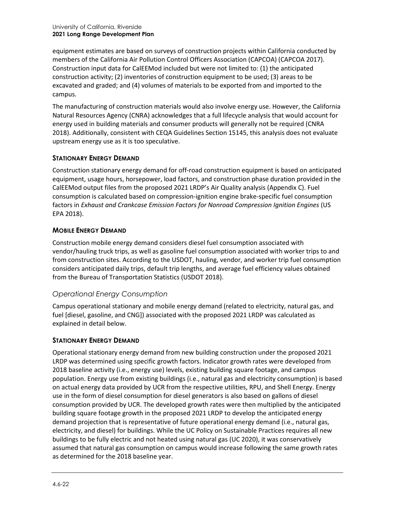equipment estimates are based on surveys of construction projects within California conducted by members of the California Air Pollution Control Officers Association (CAPCOA) (CAPCOA 2017). Construction input data for CalEEMod included but were not limited to: (1) the anticipated construction activity; (2) inventories of construction equipment to be used; (3) areas to be excavated and graded; and (4) volumes of materials to be exported from and imported to the campus.

The manufacturing of construction materials would also involve energy use. However, the California Natural Resources Agency (CNRA) acknowledges that a full lifecycle analysis that would account for energy used in building materials and consumer products will generally not be required (CNRA 2018). Additionally, consistent with CEQA Guidelines Section 15145, this analysis does not evaluate upstream energy use as it is too speculative.

### **STATIONARY ENERGY DEMAND**

Construction stationary energy demand for off-road construction equipment is based on anticipated equipment, usage hours, horsepower, load factors, and construction phase duration provided in the CalEEMod output files from the proposed 2021 LRDP's Air Quality analysis (Appendix C). Fuel consumption is calculated based on compression-ignition engine brake-specific fuel consumption factors in *Exhaust and Crankcase Emission Factors for Nonroad Compression Ignition Engines* (US EPA 2018).

### **MOBILE ENERGY DEMAND**

Construction mobile energy demand considers diesel fuel consumption associated with vendor/hauling truck trips, as well as gasoline fuel consumption associated with worker trips to and from construction sites. According to the USDOT, hauling, vendor, and worker trip fuel consumption considers anticipated daily trips, default trip lengths, and average fuel efficiency values obtained from the Bureau of Transportation Statistics (USDOT 2018).

# *Operational Energy Consumption*

Campus operational stationary and mobile energy demand (related to electricity, natural gas, and fuel [diesel, gasoline, and CNG]) associated with the proposed 2021 LRDP was calculated as explained in detail below.

#### **STATIONARY ENERGY DEMAND**

Operational stationary energy demand from new building construction under the proposed 2021 LRDP was determined using specific growth factors. Indicator growth rates were developed from 2018 baseline activity (i.e., energy use) levels, existing building square footage, and campus population. Energy use from existing buildings (i.e., natural gas and electricity consumption) is based on actual energy data provided by UCR from the respective utilities, RPU, and Shell Energy. Energy use in the form of diesel consumption for diesel generators is also based on gallons of diesel consumption provided by UCR. The developed growth rates were then multiplied by the anticipated building square footage growth in the proposed 2021 LRDP to develop the anticipated energy demand projection that is representative of future operational energy demand (i.e., natural gas, electricity, and diesel) for buildings. While the UC Policy on Sustainable Practices requires all new buildings to be fully electric and not heated using natural gas (UC 2020), it was conservatively assumed that natural gas consumption on campus would increase following the same growth rates as determined for the 2018 baseline year.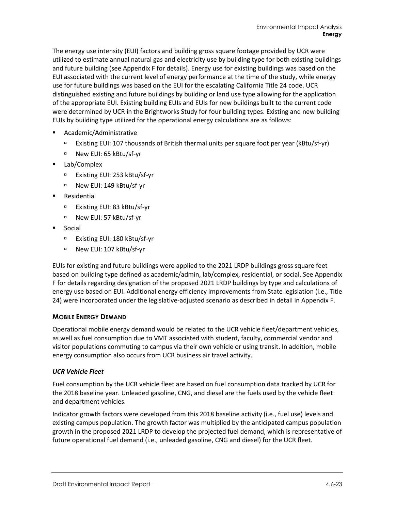The energy use intensity (EUI) factors and building gross square footage provided by UCR were utilized to estimate annual natural gas and electricity use by building type for both existing buildings and future building (see Appendix F for details). Energy use for existing buildings was based on the EUI associated with the current level of energy performance at the time of the study, while energy use for future buildings was based on the EUI for the escalating California Title 24 code. UCR distinguished existing and future buildings by building or land use type allowing for the application of the appropriate EUI. Existing building EUIs and EUIs for new buildings built to the current code were determined by UCR in the Brightworks Study for four building types. Existing and new building EUIs by building type utilized for the operational energy calculations are as follows:

- Academic/Administrative
	- Existing EUI: 107 thousands of British thermal units per square foot per year (kBtu/sf-yr)
	- □ New EUI: 65 kBtu/sf-yr
- Lab/Complex
	- Existing EUI: 253 kBtu/sf-yr
	- □ New EUI: 149 kBtu/sf-yr
- Residential
	- Existing EUI: 83 kBtu/sf-yr
	- □ New EUI: 57 kBtu/sf-yr
- Social
	- □ Existing EUI: 180 kBtu/sf-yr
	- □ New EUI: 107 kBtu/sf-yr

EUIs for existing and future buildings were applied to the 2021 LRDP buildings gross square feet based on building type defined as academic/admin, lab/complex, residential, or social. See Appendix F for details regarding designation of the proposed 2021 LRDP buildings by type and calculations of energy use based on EUI. Additional energy efficiency improvements from State legislation (i.e., Title 24) were incorporated under the legislative-adjusted scenario as described in detail in Appendix F.

#### **MOBILE ENERGY DEMAND**

Operational mobile energy demand would be related to the UCR vehicle fleet/department vehicles, as well as fuel consumption due to VMT associated with student, faculty, commercial vendor and visitor populations commuting to campus via their own vehicle or using transit. In addition, mobile energy consumption also occurs from UCR business air travel activity.

#### *UCR Vehicle Fleet*

Fuel consumption by the UCR vehicle fleet are based on fuel consumption data tracked by UCR for the 2018 baseline year. Unleaded gasoline, CNG, and diesel are the fuels used by the vehicle fleet and department vehicles.

Indicator growth factors were developed from this 2018 baseline activity (i.e., fuel use) levels and existing campus population. The growth factor was multiplied by the anticipated campus population growth in the proposed 2021 LRDP to develop the projected fuel demand, which is representative of future operational fuel demand (i.e., unleaded gasoline, CNG and diesel) for the UCR fleet.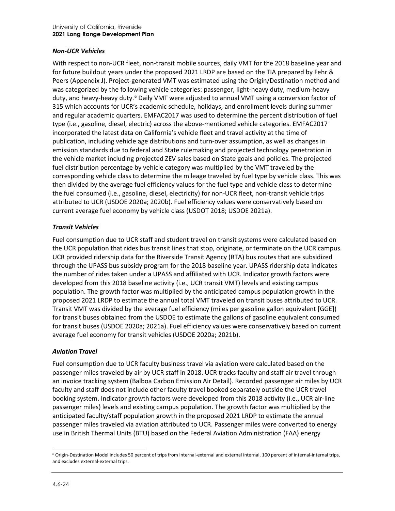#### *Non-UCR Vehicles*

With respect to non-UCR fleet, non-transit mobile sources, daily VMT for the 2018 baseline year and for future buildout years under the proposed 2021 LRDP are based on the TIA prepared by Fehr & Peers (Appendix J). Project-generated VMT was estimated using the Origin/Destination method and was categorized by the following vehicle categories: passenger, light-heavy duty, medium-heavy duty, and heavy-heavy duty.<sup>[6](#page-23-0)</sup> Daily VMT were adjusted to annual VMT using a conversion factor of 315 which accounts for UCR's academic schedule, holidays, and enrollment levels during summer and regular academic quarters. EMFAC2017 was used to determine the percent distribution of fuel type (i.e., gasoline, diesel, electric) across the above-mentioned vehicle categories. EMFAC2017 incorporated the latest data on California's vehicle fleet and travel activity at the time of publication, including vehicle age distributions and turn-over assumption, as well as changes in emission standards due to federal and State rulemaking and projected technology penetration in the vehicle market including projected ZEV sales based on State goals and policies. The projected fuel distribution percentage by vehicle category was multiplied by the VMT traveled by the corresponding vehicle class to determine the mileage traveled by fuel type by vehicle class. This was then divided by the average fuel efficiency values for the fuel type and vehicle class to determine the fuel consumed (i.e., gasoline, diesel, electricity) for non-UCR fleet, non-transit vehicle trips attributed to UCR (USDOE 2020a; 2020b). Fuel efficiency values were conservatively based on current average fuel economy by vehicle class (USDOT 2018; USDOE 2021a).

#### *Transit Vehicles*

Fuel consumption due to UCR staff and student travel on transit systems were calculated based on the UCR population that rides bus transit lines that stop, originate, or terminate on the UCR campus. UCR provided ridership data for the Riverside Transit Agency (RTA) bus routes that are subsidized through the UPASS bus subsidy program for the 2018 baseline year. UPASS ridership data indicates the number of rides taken under a UPASS and affiliated with UCR. Indicator growth factors were developed from this 2018 baseline activity (i.e., UCR transit VMT) levels and existing campus population. The growth factor was multiplied by the anticipated campus population growth in the proposed 2021 LRDP to estimate the annual total VMT traveled on transit buses attributed to UCR. Transit VMT was divided by the average fuel efficiency (miles per gasoline gallon equivalent [GGE]) for transit buses obtained from the USDOE to estimate the gallons of gasoline equivalent consumed for transit buses (USDOE 2020a; 2021a). Fuel efficiency values were conservatively based on current average fuel economy for transit vehicles (USDOE 2020a; 2021b).

#### *Aviation Travel*

Fuel consumption due to UCR faculty business travel via aviation were calculated based on the passenger miles traveled by air by UCR staff in 2018. UCR tracks faculty and staff air travel through an invoice tracking system (Balboa Carbon Emission Air Detail). Recorded passenger air miles by UCR faculty and staff does not include other faculty travel booked separately outside the UCR travel booking system. Indicator growth factors were developed from this 2018 activity (i.e., UCR air-line passenger miles) levels and existing campus population. The growth factor was multiplied by the anticipated faculty/staff population growth in the proposed 2021 LRDP to estimate the annual passenger miles traveled via aviation attributed to UCR. Passenger miles were converted to energy use in British Thermal Units (BTU) based on the Federal Aviation Administration (FAA) energy

<span id="page-23-0"></span><sup>6</sup> Origin-Destination Model includes 50 percent of trips from internal-external and external internal, 100 percent of internal-internal trips, and excludes external-external trips.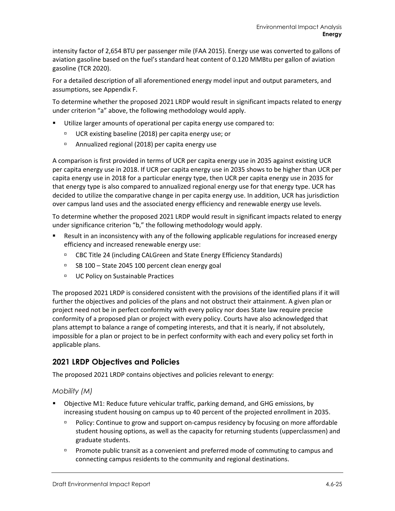intensity factor of 2,654 BTU per passenger mile (FAA 2015). Energy use was converted to gallons of aviation gasoline based on the fuel's standard heat content of 0.120 MMBtu per gallon of aviation gasoline (TCR 2020).

For a detailed description of all aforementioned energy model input and output parameters, and assumptions, see Appendix F.

To determine whether the proposed 2021 LRDP would result in significant impacts related to energy under criterion "a" above, the following methodology would apply.

- Utilize larger amounts of operational per capita energy use compared to:
	- UCR existing baseline (2018) per capita energy use; or
	- Annualized regional (2018) per capita energy use

A comparison is first provided in terms of UCR per capita energy use in 2035 against existing UCR per capita energy use in 2018. If UCR per capita energy use in 2035 shows to be higher than UCR per capita energy use in 2018 for a particular energy type, then UCR per capita energy use in 2035 for that energy type is also compared to annualized regional energy use for that energy type. UCR has decided to utilize the comparative change in per capita energy use. In addition, UCR has jurisdiction over campus land uses and the associated energy efficiency and renewable energy use levels.

To determine whether the proposed 2021 LRDP would result in significant impacts related to energy under significance criterion "b," the following methodology would apply.

- Result in an inconsistency with any of the following applicable regulations for increased energy efficiency and increased renewable energy use:
	- □ CBC Title 24 (including CALGreen and State Energy Efficiency Standards)
	- □ SB 100 State 2045 100 percent clean energy goal
	- □ UC Policy on Sustainable Practices

The proposed 2021 LRDP is considered consistent with the provisions of the identified plans if it will further the objectives and policies of the plans and not obstruct their attainment. A given plan or project need not be in perfect conformity with every policy nor does State law require precise conformity of a proposed plan or project with every policy. Courts have also acknowledged that plans attempt to balance a range of competing interests, and that it is nearly, if not absolutely, impossible for a plan or project to be in perfect conformity with each and every policy set forth in applicable plans.

# **2021 LRDP Objectives and Policies**

The proposed 2021 LRDP contains objectives and policies relevant to energy:

#### *Mobility (M)*

- Objective M1: Reduce future vehicular traffic, parking demand, and GHG emissions, by increasing student housing on campus up to 40 percent of the projected enrollment in 2035.
	- Policy: Continue to grow and support on-campus residency by focusing on more affordable student housing options, as well as the capacity for returning students (upperclassmen) and graduate students.
	- **Promote public transit as a convenient and preferred mode of commuting to campus and** connecting campus residents to the community and regional destinations.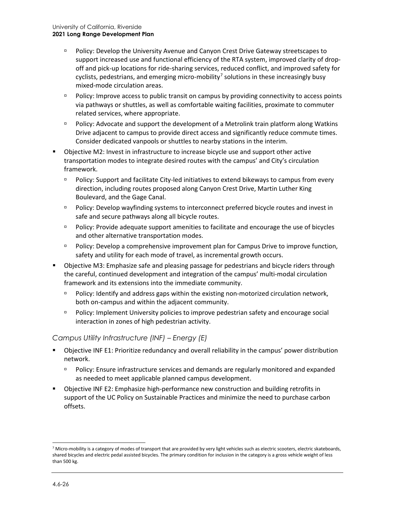- Policy: Develop the University Avenue and Canyon Crest Drive Gateway streetscapes to support increased use and functional efficiency of the RTA system, improved clarity of dropoff and pick-up locations for ride-sharing services, reduced conflict, and improved safety for cyclists, pedestrians, and emerging micro-mobility<sup>[7](#page-25-0)</sup> solutions in these increasingly busy mixed-mode circulation areas.
- Policy: Improve access to public transit on campus by providing connectivity to access points via pathways or shuttles, as well as comfortable waiting facilities, proximate to commuter related services, where appropriate.
- Policy: Advocate and support the development of a Metrolink train platform along Watkins Drive adjacent to campus to provide direct access and significantly reduce commute times. Consider dedicated vanpools or shuttles to nearby stations in the interim.
- Objective M2: Invest in infrastructure to increase bicycle use and support other active transportation modes to integrate desired routes with the campus' and City's circulation framework.
	- Policy: Support and facilitate City-led initiatives to extend bikeways to campus from every direction, including routes proposed along Canyon Crest Drive, Martin Luther King Boulevard, and the Gage Canal.
	- Policy: Develop wayfinding systems to interconnect preferred bicycle routes and invest in safe and secure pathways along all bicycle routes.
	- Policy: Provide adequate support amenities to facilitate and encourage the use of bicycles and other alternative transportation modes.
	- Policy: Develop a comprehensive improvement plan for Campus Drive to improve function, safety and utility for each mode of travel, as incremental growth occurs.
- Objective M3: Emphasize safe and pleasing passage for pedestrians and bicycle riders through the careful, continued development and integration of the campus' multi-modal circulation framework and its extensions into the immediate community.
	- Policy: Identify and address gaps within the existing non-motorized circulation network, both on-campus and within the adjacent community.
	- Policy: Implement University policies to improve pedestrian safety and encourage social interaction in zones of high pedestrian activity.

#### *Campus Utility Infrastructure (INF) – Energy (E)*

- Objective INF E1: Prioritize redundancy and overall reliability in the campus' power distribution network.
	- Policy: Ensure infrastructure services and demands are regularly monitored and expanded as needed to meet applicable planned campus development.
- Objective INF E2: Emphasize high-performance new construction and building retrofits in support of the UC Policy on Sustainable Practices and minimize the need to purchase carbon offsets.

<span id="page-25-0"></span><sup>&</sup>lt;sup>7</sup> Micro-mobility is a category of modes of transport that are provided by very light vehicles such as electric scooters, electric skateboards, shared bicycles and electric pedal assisted bicycles. The primary condition for inclusion in the category is a gross vehicle weight of less than 500 kg.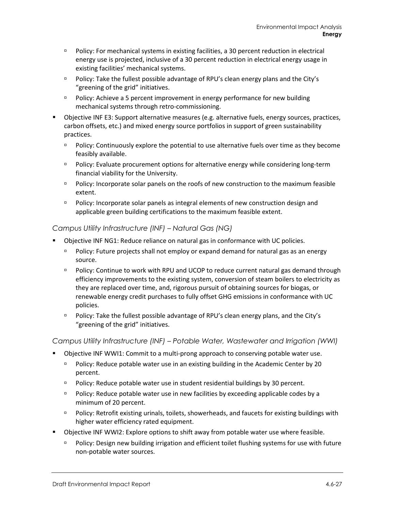- Policy: For mechanical systems in existing facilities, a 30 percent reduction in electrical energy use is projected, inclusive of a 30 percent reduction in electrical energy usage in existing facilities' mechanical systems.
- Policy: Take the fullest possible advantage of RPU's clean energy plans and the City's "greening of the grid" initiatives.
- Policy: Achieve a 5 percent improvement in energy performance for new building mechanical systems through retro-commissioning.
- Objective INF E3: Support alternative measures (e.g. alternative fuels, energy sources, practices, carbon offsets, etc.) and mixed energy source portfolios in support of green sustainability practices.
	- **Policy: Continuously explore the potential to use alternative fuels over time as they become** feasibly available.
	- Policy: Evaluate procurement options for alternative energy while considering long-term financial viability for the University.
	- Policy: Incorporate solar panels on the roofs of new construction to the maximum feasible extent.
	- Policy: Incorporate solar panels as integral elements of new construction design and applicable green building certifications to the maximum feasible extent.

#### *Campus Utility Infrastructure (INF) – Natural Gas (NG)*

- Objective INF NG1: Reduce reliance on natural gas in conformance with UC policies.
	- Policy: Future projects shall not employ or expand demand for natural gas as an energy source.
	- Policy: Continue to work with RPU and UCOP to reduce current natural gas demand through efficiency improvements to the existing system, conversion of steam boilers to electricity as they are replaced over time, and, rigorous pursuit of obtaining sources for biogas, or renewable energy credit purchases to fully offset GHG emissions in conformance with UC policies.
	- **Policy:** Take the fullest possible advantage of RPU's clean energy plans, and the City's "greening of the grid" initiatives.

*Campus Utility Infrastructure (INF) – Potable Water, Wastewater and Irrigation (WWI)*

- Objective INF WWI1: Commit to a multi-prong approach to conserving potable water use.
	- Policy: Reduce potable water use in an existing building in the Academic Center by 20 percent.
	- **Policy: Reduce potable water use in student residential buildings by 30 percent.**
	- **Policy: Reduce potable water use in new facilities by exceeding applicable codes by a** minimum of 20 percent.
	- Policy: Retrofit existing urinals, toilets, showerheads, and faucets for existing buildings with higher water efficiency rated equipment.
- Objective INF WWI2: Explore options to shift away from potable water use where feasible.
	- Policy: Design new building irrigation and efficient toilet flushing systems for use with future non-potable water sources.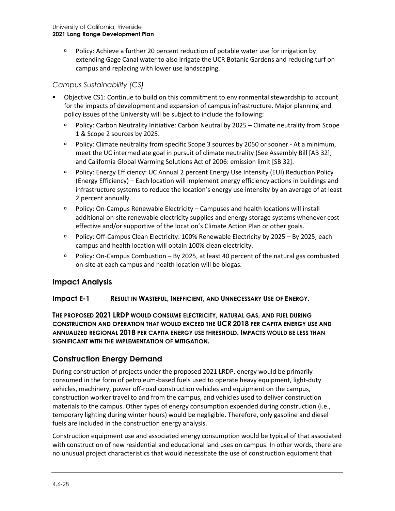$P$  Policy: Achieve a further 20 percent reduction of potable water use for irrigation by extending Gage Canal water to also irrigate the UCR Botanic Gardens and reducing turf on campus and replacing with lower use landscaping.

# *Campus Sustainability (CS)*

- Objective CS1: Continue to build on this commitment to environmental stewardship to account for the impacts of development and expansion of campus infrastructure. Major planning and policy issues of the University will be subject to include the following:
	- Policy: Carbon Neutrality Initiative: Carbon Neutral by 2025 Climate neutrality from Scope 1 & Scope 2 sources by 2025.
	- Policy: Climate neutrality from specific Scope 3 sources by 2050 or sooner At a minimum, meet the UC intermediate goal in pursuit of climate neutrality (See Assembly Bill [AB 32], and California Global Warming Solutions Act of 2006: emission limit [SB 32].
	- Policy: Energy Efficiency: UC Annual 2 percent Energy Use Intensity (EUI) Reduction Policy (Energy Efficiency) – Each location will implement energy efficiency actions in buildings and infrastructure systems to reduce the location's energy use intensity by an average of at least 2 percent annually.
	- Policy: On-Campus Renewable Electricity Campuses and health locations will install additional on-site renewable electricity supplies and energy storage systems whenever costeffective and/or supportive of the location's Climate Action Plan or other goals.
	- Policy: Off-Campus Clean Electricity: 100% Renewable Electricity by 2025 By 2025, each campus and health location will obtain 100% clean electricity.
	- $P$  Policy: On-Campus Combustion By 2025, at least 40 percent of the natural gas combusted on-site at each campus and health location will be biogas.

# **Impact Analysis**

#### **Impact E-1 RESULT IN WASTEFUL, INEFFICIENT, AND UNNECESSARY USE OF ENERGY.**

**THE PROPOSED 2021 LRDP WOULD CONSUME ELECTRICITY, NATURAL GAS, AND FUEL DURING CONSTRUCTION AND OPERATION THAT WOULD EXCEED THE UCR 2018 PER CAPITA ENERGY USE AND ANNUALIZED REGIONAL 2018 PER CAPITA ENERGY USE THRESHOLD. IMPACTS WOULD BE LESS THAN SIGNIFICANT WITH THE IMPLEMENTATION OF MITIGATION.**

# **Construction Energy Demand**

During construction of projects under the proposed 2021 LRDP, energy would be primarily consumed in the form of petroleum-based fuels used to operate heavy equipment, light-duty vehicles, machinery, power off-road construction vehicles and equipment on the campus, construction worker travel to and from the campus, and vehicles used to deliver construction materials to the campus. Other types of energy consumption expended during construction (i.e., temporary lighting during winter hours) would be negligible. Therefore, only gasoline and diesel fuels are included in the construction energy analysis.

Construction equipment use and associated energy consumption would be typical of that associated with construction of new residential and educational land uses on campus. In other words, there are no unusual project characteristics that would necessitate the use of construction equipment that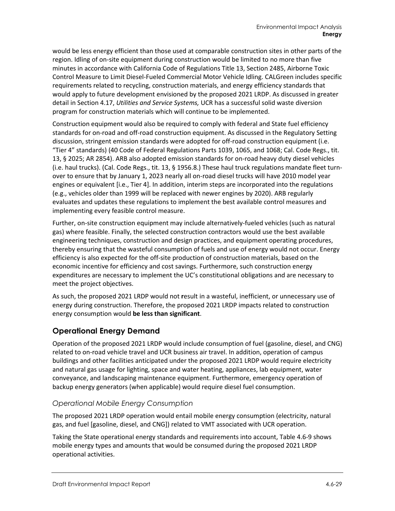would be less energy efficient than those used at comparable construction sites in other parts of the region. Idling of on-site equipment during construction would be limited to no more than five minutes in accordance with California Code of Regulations Title 13, Section 2485, Airborne Toxic Control Measure to Limit Diesel-Fueled Commercial Motor Vehicle Idling. CALGreen includes specific requirements related to recycling, construction materials, and energy efficiency standards that would apply to future development envisioned by the proposed 2021 LRDP. As discussed in greater detail in Section 4.17, *Utilities and Service Systems,* UCR has a successful solid waste diversion program for construction materials which will continue to be implemented.

Construction equipment would also be required to comply with federal and State fuel efficiency standards for on-road and off-road construction equipment. As discussed in the Regulatory Setting discussion, stringent emission standards were adopted for off-road construction equipment (i.e. "Tier 4" standards) (40 Code of Federal Regulations Parts 1039, 1065, and 1068; Cal. Code Regs., tit. 13, § 2025; AR 2854). ARB also adopted emission standards for on-road heavy duty diesel vehicles (i.e. haul trucks). (Cal. Code Regs., tit. 13, § 1956.8.) These haul truck regulations mandate fleet turnover to ensure that by January 1, 2023 nearly all on-road diesel trucks will have 2010 model year engines or equivalent [i.e., Tier 4]. In addition, interim steps are incorporated into the regulations (e.g., vehicles older than 1999 will be replaced with newer engines by 2020). ARB regularly evaluates and updates these regulations to implement the best available control measures and implementing every feasible control measure.

Further, on-site construction equipment may include alternatively-fueled vehicles (such as natural gas) where feasible. Finally, the selected construction contractors would use the best available engineering techniques, construction and design practices, and equipment operating procedures, thereby ensuring that the wasteful consumption of fuels and use of energy would not occur. Energy efficiency is also expected for the off-site production of construction materials, based on the economic incentive for efficiency and cost savings. Furthermore, such construction energy expenditures are necessary to implement the UC's constitutional obligations and are necessary to meet the project objectives.

As such, the proposed 2021 LRDP would not **r**esult in a wasteful, inefficient, or unnecessary use of energy during construction. Therefore, the proposed 2021 LRDP impacts related to construction energy consumption would **be less than significant**.

# **Operational Energy Demand**

Operation of the proposed 2021 LRDP would include consumption of fuel (gasoline, diesel, and CNG) related to on-road vehicle travel and UCR business air travel. In addition, operation of campus buildings and other facilities anticipated under the proposed 2021 LRDP would require electricity and natural gas usage for lighting, space and water heating, appliances, lab equipment, water conveyance, and landscaping maintenance equipment. Furthermore, emergency operation of backup energy generators (when applicable) would require diesel fuel consumption.

# *Operational Mobile Energy Consumption*

The proposed 2021 LRDP operation would entail mobile energy consumption (electricity, natural gas, and fuel [gasoline, diesel, and CNG]) related to VMT associated with UCR operation.

Taking the State operational energy standards and requirements into account[, Table 4.6-9](#page-29-0) shows mobile energy types and amounts that would be consumed during the proposed 2021 LRDP operational activities.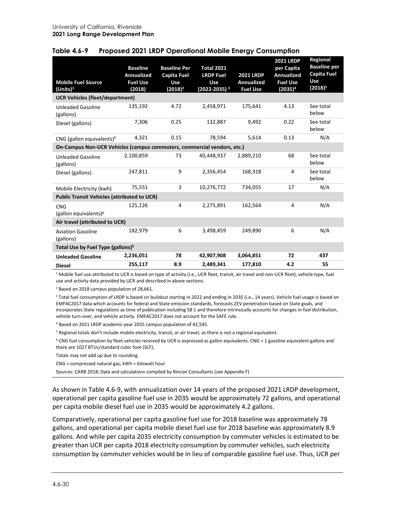| <b>Mobile Fuel Source</b><br>(Units) <sup>1</sup><br><b>UCR Vehicles (fleet/department)</b> | <b>Baseline</b><br><b>Annualized</b><br><b>Fuel Use</b><br>(2018) | <b>Baseline Per</b><br>Capita Fuel<br><b>Use</b><br>$(2018)^2$ | <b>Total 2021</b><br><b>LRDP Fuel</b><br><b>Use</b><br>(2022-2035) <sup>3</sup> | <b>2021 LRDP</b><br><b>Annualized</b><br><b>Fuel Use</b> | <b>2021 LRDP</b><br>per Capita<br><b>Annualized</b><br><b>Fuel Use</b><br>(2035) <sup>4</sup> | Regional<br><b>Baseline per</b><br><b>Capita Fuel</b><br><b>Use</b><br>$(2018)^5$ |
|---------------------------------------------------------------------------------------------|-------------------------------------------------------------------|----------------------------------------------------------------|---------------------------------------------------------------------------------|----------------------------------------------------------|-----------------------------------------------------------------------------------------------|-----------------------------------------------------------------------------------|
| <b>Unleaded Gasoline</b><br>(gallons)                                                       | 135,192                                                           | 4.72                                                           | 2,458,971                                                                       | 175,641                                                  | 4.13                                                                                          | See total<br>below                                                                |
| Diesel (gallons)                                                                            | 7,306                                                             | 0.25                                                           | 132,887                                                                         | 9,492                                                    | 0.22                                                                                          | See total<br>below                                                                |
| CNG (gallon equivalents) <sup>6</sup>                                                       | 4,321                                                             | 0.15                                                           | 78,594                                                                          | 5,614                                                    | 0.13                                                                                          | N/A                                                                               |
| On-Campus Non-UCR Vehicles (campus commuters, commercial vendors, etc.)                     |                                                                   |                                                                |                                                                                 |                                                          |                                                                                               |                                                                                   |
| <b>Unleaded Gasoline</b><br>(gallons)                                                       | 2,100,859                                                         | 73                                                             | 40,448,937                                                                      | 2,889,210                                                | 68                                                                                            | See total<br>below                                                                |
| Diesel (gallons)                                                                            | 247,811                                                           | 9                                                              | 2,356,454                                                                       | 168,318                                                  | 4                                                                                             | See total<br>below                                                                |
| Mobile Electricity (kwh)                                                                    | 75,551                                                            | 3                                                              | 10,276,772                                                                      | 734,055                                                  | 17                                                                                            | N/A                                                                               |
| <b>Public Transit Vehicles (attributed to UCR)</b>                                          |                                                                   |                                                                |                                                                                 |                                                          |                                                                                               |                                                                                   |
| <b>CNG</b><br>(gallon equivalents) $6$                                                      | 125,126                                                           | 4                                                              | 2,275,891                                                                       | 162,564                                                  | 4                                                                                             | N/A                                                                               |
| Air travel (attributed to UCR)                                                              |                                                                   |                                                                |                                                                                 |                                                          |                                                                                               |                                                                                   |
| <b>Aviation Gasoline</b><br>(gallons)                                                       | 182,979                                                           | 6                                                              | 3,498,459                                                                       | 249,890                                                  | 6                                                                                             | N/A                                                                               |
| Total Use by Fuel Type (gallons) <sup>5</sup>                                               |                                                                   |                                                                |                                                                                 |                                                          |                                                                                               |                                                                                   |
| <b>Unleaded Gasoline</b>                                                                    | 2,236,051                                                         | 78                                                             | 42,907,908                                                                      | 3,064,851                                                | 72                                                                                            | 437                                                                               |
| <b>Diesel</b>                                                                               | 255,117                                                           | 8.9                                                            | 2,489,341                                                                       | 177,810                                                  | 4.2                                                                                           | 55                                                                                |

### <span id="page-29-0"></span>**Table 4.6-9 Proposed 2021 LRDP Operational Mobile Energy Consumption**

<sup>1</sup> Mobile fuel use attributed to UCR is based on type of activity (i.e., UCR fleet, transit, air travel and non-UCR fleet), vehicle type, fuel use and activity data provided by UCR and described in above sections.

<sup>2</sup> Based on 2018 campus population of 28,661.

<sup>3</sup> Total fuel consumption of LRDP is based on buildout starting in 2022 and ending in 2035 (i.e., 14 years). Vehicle fuel usage is based on EMFAC2017 data which accounts for federal and State emission standards, forecasts ZEV penetration based on State goals, and incorporates State regulations as time of publication including SB 1 and therefore intrinsically accounts for changes in fuel distribution, vehicle turn-over, and vehicle activity. EMFAC2017 does not account for the SAFE rule.

<sup>4</sup> Based on 2021 LRDP academic year 2035 campus population of 42,545.

<sup>5</sup> Regional totals don't include mobile electricity, transit, or air travel, as there is not a regional equivalent.

 $6$  CNG fuel consumption by fleet vehicles received by UCR is expressed as gallon equivalents. CNG = 1 gasoline equivalent gallons and there are 1027 BTUs/standard cubic foot (SCF).

Totals may not add up due to rounding.

CNG = compressed natural gas; kWh = kilowatt hour

Sources: CARB 2018; Data and calculations compiled by Rincon Consultants (see Appendix F)

As shown in [Table 4.6-9,](#page-29-0) with annualization over 14 years of the proposed 2021 LRDP development, operational per capita gasoline fuel use in 2035 would be approximately 72 gallons, and operational per capita mobile diesel fuel use in 2035 would be approximately 4.2 gallons.

Comparatively, operational per capita gasoline fuel use for 2018 baseline was approximately 78 gallons, and operational per capita mobile diesel fuel use for 2018 baseline was approximately 8.9 gallons. And while per capita 2035 electricity consumption by commuter vehicles is estimated to be greater than UCR per capita 2018 electricity consumption by commuter vehicles, such electricity consumption by commuter vehicles would be in lieu of comparable gasoline fuel use. Thus, UCR per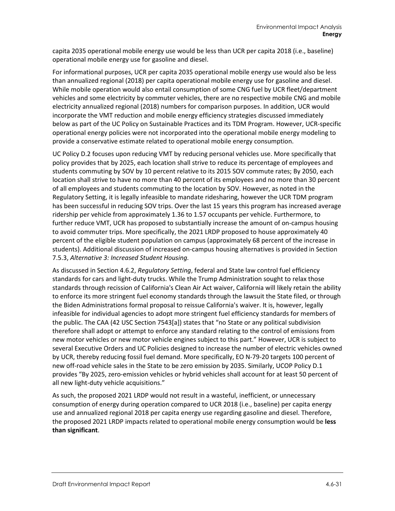capita 2035 operational mobile energy use would be less than UCR per capita 2018 (i.e., baseline) operational mobile energy use for gasoline and diesel.

For informational purposes, UCR per capita 2035 operational mobile energy use would also be less than annualized regional (2018) per capita operational mobile energy use for gasoline and diesel. While mobile operation would also entail consumption of some CNG fuel by UCR fleet/department vehicles and some electricity by commuter vehicles, there are no respective mobile CNG and mobile electricity annualized regional (2018) numbers for comparison purposes. In addition, UCR would incorporate the VMT reduction and mobile energy efficiency strategies discussed immediately below as part of the UC Policy on Sustainable Practices and its TDM Program. However, UCR-specific operational energy policies were not incorporated into the operational mobile energy modeling to provide a conservative estimate related to operational mobile energy consumption.

UC Policy D.2 focuses upon reducing VMT by reducing personal vehicles use. More specifically that policy provides that by 2025, each location shall strive to reduce its percentage of employees and students commuting by SOV by 10 percent relative to its 2015 SOV commute rates; By 2050, each location shall strive to have no more than 40 percent of its employees and no more than 30 percent of all employees and students commuting to the location by SOV. However, as noted in the Regulatory Setting, it is legally infeasible to mandate ridesharing, however the UCR TDM program has been successful in reducing SOV trips. Over the last 15 years this program has increased average ridership per vehicle from approximately 1.36 to 1.57 occupants per vehicle. Furthermore, to further reduce VMT, UCR has proposed to substantially increase the amount of on-campus housing to avoid commuter trips. More specifically, the 2021 LRDP proposed to house approximately 40 percent of the eligible student population on campus (approximately 68 percent of the increase in students). Additional discussion of increased on-campus housing alternatives is provided in Section 7.5.3, *Alternative 3: Increased Student Housing.*

As discussed in Section 4.6.2, *Regulatory Setting*, federal and State law control fuel efficiency standards for cars and light-duty trucks. While the Trump Administration sought to relax those standards through recission of California's Clean Air Act waiver, California will likely retain the ability to enforce its more stringent fuel economy standards through the lawsuit the State filed, or through the Biden Administrations formal proposal to reissue California's waiver. It is, however, legally infeasible for individual agencies to adopt more stringent fuel efficiency standards for members of the public. The CAA (42 USC Section 7543[a]) states that "no State or any political subdivision therefore shall adopt or attempt to enforce any standard relating to the control of emissions from new motor vehicles or new motor vehicle engines subject to this part." However, UCR is subject to several Executive Orders and UC Policies designed to increase the number of electric vehicles owned by UCR, thereby reducing fossil fuel demand. More specifically, EO N-79-20 targets 100 percent of new off-road vehicle sales in the State to be zero emission by 2035. Similarly, UCOP Policy D.1 provides "By 2025, zero-emission vehicles or hybrid vehicles shall account for at least 50 percent of all new light-duty vehicle acquisitions."

As such, the proposed 2021 LRDP would not result in a wasteful, inefficient, or unnecessary consumption of energy during operation compared to UCR 2018 (i.e., baseline) per capita energy use and annualized regional 2018 per capita energy use regarding gasoline and diesel. Therefore, the proposed 2021 LRDP impacts related to operational mobile energy consumption would be **less than significant**.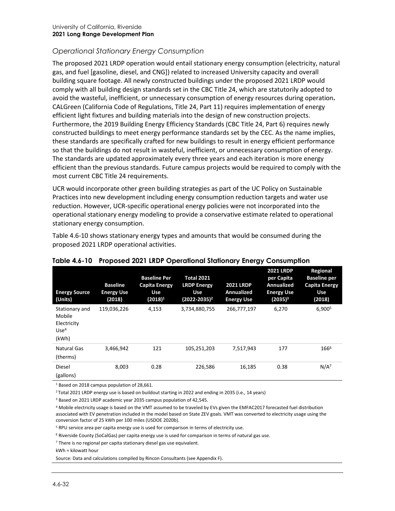# *Operational Stationary Energy Consumption*

The proposed 2021 LRDP operation would entail stationary energy consumption (electricity, natural gas, and fuel [gasoline, diesel, and CNG]) related to increased University capacity and overall building square footage. All newly constructed buildings under the proposed 2021 LRDP would comply with all building design standards set in the CBC Title 24, which are statutorily adopted to avoid the wasteful, inefficient, or unnecessary consumption of energy resources during operation**.**  CALGreen (California Code of Regulations, Title 24, Part 11) requires implementation of energy efficient light fixtures and building materials into the design of new construction projects. Furthermore, the 2019 Building Energy Efficiency Standards (CBC Title 24, Part 6) requires newly constructed buildings to meet energy performance standards set by the CEC. As the name implies, these standards are specifically crafted for new buildings to result in energy efficient performance so that the buildings do not result in wasteful, inefficient, or unnecessary consumption of energy. The standards are updated approximately every three years and each iteration is more energy efficient than the previous standards. Future campus projects would be required to comply with the most current CBC Title 24 requirements.

UCR would incorporate other green building strategies as part of the UC Policy on Sustainable Practices into new development including energy consumption reduction targets and water use reduction. However, UCR-specific operational energy policies were not incorporated into the operational stationary energy modeling to provide a conservative estimate related to operational stationary energy consumption.

[Table 4.6-10](#page-31-0) shows stationary energy types and amounts that would be consumed during the proposed 2021 LRDP operational activities.

| <b>Energy Source</b><br>(Units)                                      | <b>Baseline</b><br><b>Energy Use</b><br>(2018) | <b>Baseline Per</b><br>Capita Energy<br><b>Use</b><br>(2018) <sup>1</sup> | <b>Total 2021</b><br><b>LRDP Energy</b><br>Use<br>(2022-2035) <sup>2</sup> | <b>2021 LRDP</b><br>Annualized<br><b>Energy Use</b> | <b>2021 LRDP</b><br>per Capita<br>Annualized<br><b>Energy Use</b><br>$(2035)^3$ | Regional<br><b>Baseline per</b><br><b>Capita Energy</b><br><b>Use</b><br>(2018) |
|----------------------------------------------------------------------|------------------------------------------------|---------------------------------------------------------------------------|----------------------------------------------------------------------------|-----------------------------------------------------|---------------------------------------------------------------------------------|---------------------------------------------------------------------------------|
| Stationary and<br>Mobile<br>Electricity<br>Use <sup>4</sup><br>(kWh) | 119,036,226                                    | 4,153                                                                     | 3,734,880,755                                                              | 266,777,197                                         | 6,270                                                                           | 6,900 <sup>5</sup>                                                              |
| <b>Natural Gas</b><br>(therms)                                       | 3,466,942                                      | 121                                                                       | 105,251,203                                                                | 7,517,943                                           | 177                                                                             | 1666                                                                            |
| Diesel<br>(gallons)                                                  | 8,003                                          | 0.28                                                                      | 226,586                                                                    | 16,185                                              | 0.38                                                                            | $N/A^7$                                                                         |

# <span id="page-31-0"></span>**Table 4.6-10 Proposed 2021 LRDP Operational Stationary Energy Consumption**

<sup>1</sup> Based on 2018 campus population of 28,661.

2 Total 2021 LRDP energy use is based on buildout starting in 2022 and ending in 2035 (i.e., 14 years)

<sup>3</sup> Based on 2021 LRDP academic year 2035 campus population of 42,545.

<sup>4</sup> Mobile electricity usage is based on the VMT assumed to be traveled by EVs given the EMFAC2017 forecasted fuel distribution associated with EV penetration included in the model based on State ZEV goals. VMT was converted to electricity usage using the conversion factor of 25 kWh per 100 miles (USDOE 2020b).

<sup>5</sup> RPU service area per capita energy use is used for comparison in terms of electricity use.

<sup>6</sup> Riverside County (SoCalGas) per capita energy use is used for comparison in terms of natural gas use.

 $7$  There is no regional per capita stationary diesel gas use equivalent.

kWh = kilowatt hour

Source: Data and calculations compiled by Rincon Consultants (see Appendix F).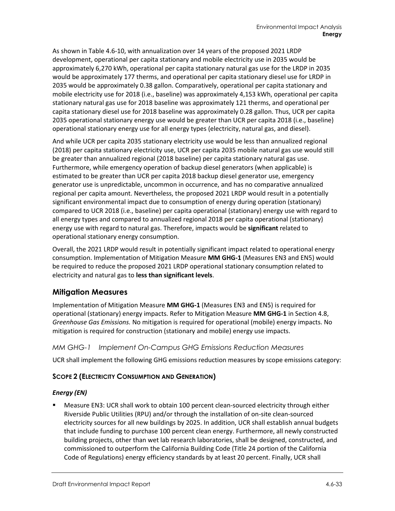As shown in [Table 4.6-10,](#page-31-0) with annualization over 14 years of the proposed 2021 LRDP development, operational per capita stationary and mobile electricity use in 2035 would be approximately 6,270 kWh, operational per capita stationary natural gas use for the LRDP in 2035 would be approximately 177 therms, and operational per capita stationary diesel use for LRDP in 2035 would be approximately 0.38 gallon. Comparatively, operational per capita stationary and mobile electricity use for 2018 (i.e., baseline) was approximately 4,153 kWh, operational per capita stationary natural gas use for 2018 baseline was approximately 121 therms, and operational per capita stationary diesel use for 2018 baseline was approximately 0.28 gallon. Thus, UCR per capita 2035 operational stationary energy use would be greater than UCR per capita 2018 (i.e., baseline) operational stationary energy use for all energy types (electricity, natural gas, and diesel).

And while UCR per capita 2035 stationary electricity use would be less than annualized regional (2018) per capita stationary electricity use, UCR per capita 2035 mobile natural gas use would still be greater than annualized regional (2018 baseline) per capita stationary natural gas use. Furthermore, while emergency operation of backup diesel generators (when applicable) is estimated to be greater than UCR per capita 2018 backup diesel generator use, emergency generator use is unpredictable, uncommon in occurrence, and has no comparative annualized regional per capita amount. Nevertheless, the proposed 2021 LRDP would result in a potentially significant environmental impact due to consumption of energy during operation (stationary) compared to UCR 2018 (i.e., baseline) per capita operational (stationary) energy use with regard to all energy types and compared to annualized regional 2018 per capita operational (stationary) energy use with regard to natural gas. Therefore, impacts would be **significant** related to operational stationary energy consumption.

Overall, the 2021 LRDP would result in potentially significant impact related to operational energy consumption. Implementation of Mitigation Measure **MM GHG-1** (Measures EN3 and EN5) would be required to reduce the proposed 2021 LRDP operational stationary consumption related to electricity and natural gas to **less than significant levels**.

# **Mitigation Measures**

Implementation of Mitigation Measure **MM GHG-1** (Measures EN3 and EN5) is required for operational (stationary) energy impacts. Refer to Mitigation Measure **MM GHG-1** in Section 4.8, *Greenhouse Gas Emissions.* No mitigation is required for operational (mobile) energy impacts. No mitigation is required for construction (stationary and mobile) energy use impacts.

#### *MM GHG-1 Implement On-Campus GHG Emissions Reduction Measures*

UCR shall implement the following GHG emissions reduction measures by scope emissions category:

#### **SCOPE 2 (ELECTRICITY CONSUMPTION AND GENERATION)**

#### *Energy (EN)*

 Measure EN3: UCR shall work to obtain 100 percent clean-sourced electricity through either Riverside Public Utilities (RPU) and/or through the installation of on-site clean-sourced electricity sources for all new buildings by 2025. In addition, UCR shall establish annual budgets that include funding to purchase 100 percent clean energy. Furthermore, all newly constructed building projects, other than wet lab research laboratories, shall be designed, constructed, and commissioned to outperform the California Building Code (Title 24 portion of the California Code of Regulations) energy efficiency standards by at least 20 percent. Finally, UCR shall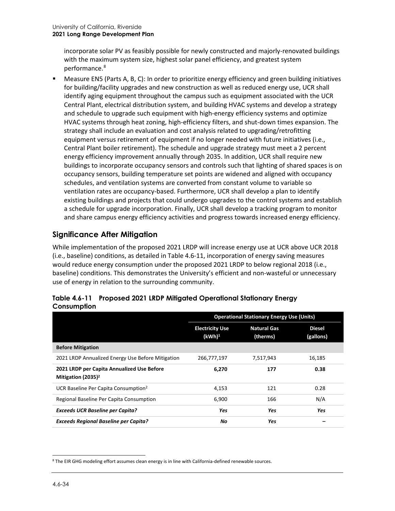incorporate solar PV as feasibly possible for newly constructed and majorly-renovated buildings with the maximum system size, highest solar panel efficiency, and greatest system performance.[8](#page-33-1)

 Measure EN5 (Parts A, B, C): In order to prioritize energy efficiency and green building initiatives for building/facility upgrades and new construction as well as reduced energy use, UCR shall identify aging equipment throughout the campus such as equipment associated with the UCR Central Plant, electrical distribution system, and building HVAC systems and develop a strategy and schedule to upgrade such equipment with high-energy efficiency systems and optimize HVAC systems through heat zoning, high-efficiency filters, and shut-down times expansion. The strategy shall include an evaluation and cost analysis related to upgrading/retrofitting equipment versus retirement of equipment if no longer needed with future initiatives (i.e., Central Plant boiler retirement). The schedule and upgrade strategy must meet a 2 percent energy efficiency improvement annually through 2035. In addition, UCR shall require new buildings to incorporate occupancy sensors and controls such that lighting of shared spaces is on occupancy sensors, building temperature set points are widened and aligned with occupancy schedules, and ventilation systems are converted from constant volume to variable so ventilation rates are occupancy-based. Furthermore, UCR shall develop a plan to identify existing buildings and projects that could undergo upgrades to the control systems and establish a schedule for upgrade incorporation. Finally, UCR shall develop a tracking program to monitor and share campus energy efficiency activities and progress towards increased energy efficiency.

# **Significance After Mitigation**

While implementation of the proposed 2021 LRDP will increase energy use at UCR above UCR 2018 (i.e., baseline) conditions, as detailed in [Table 4.6-11,](#page-33-0) incorporation of energy saving measures would reduce energy consumption under the proposed 2021 LRDP to below regional 2018 (i.e., baseline) conditions. This demonstrates the University's efficient and non-wasteful or unnecessary use of energy in relation to the surrounding community.

|                                                                     | <b>Operational Stationary Energy Use (Units)</b> |                                |                            |  |  |
|---------------------------------------------------------------------|--------------------------------------------------|--------------------------------|----------------------------|--|--|
|                                                                     | <b>Electricity Use</b><br>(kWh) <sup>1</sup>     | <b>Natural Gas</b><br>(therms) | <b>Diesel</b><br>(gallons) |  |  |
| <b>Before Mitigation</b>                                            |                                                  |                                |                            |  |  |
| 2021 LRDP Annualized Energy Use Before Mitigation                   | 266,777,197                                      | 7,517,943                      | 16,185                     |  |  |
| 2021 LRDP per Capita Annualized Use Before<br>Mitigation $(2035)^2$ | 6,270                                            | 177                            | 0.38                       |  |  |
| UCR Baseline Per Capita Consumption <sup>2</sup>                    | 4,153                                            | 121                            | 0.28                       |  |  |
| Regional Baseline Per Capita Consumption                            | 6,900                                            | 166                            | N/A                        |  |  |
| <b>Exceeds UCR Baseline per Capita?</b>                             | Yes                                              | Yes                            | Yes                        |  |  |
| <b>Exceeds Regional Baseline per Capita?</b>                        | No                                               | Yes                            |                            |  |  |

<span id="page-33-0"></span>

|             | Table 4.6-11 Proposed 2021 LRDP Mitigated Operational Stationary Energy |
|-------------|-------------------------------------------------------------------------|
| Consumption |                                                                         |

<span id="page-33-1"></span><sup>8</sup> The EIR GHG modeling effort assumes clean energy is in line with California-defined renewable sources.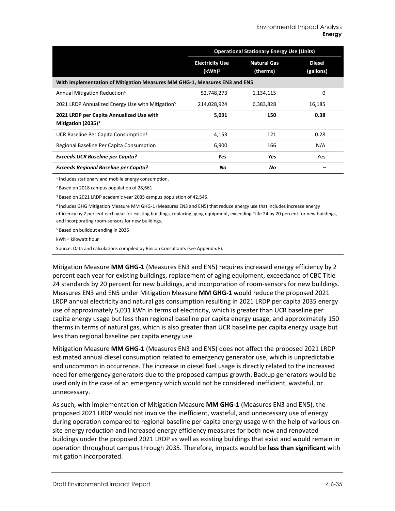|                                                                           | <b>Operational Stationary Energy Use (Units)</b> |                                |                            |  |
|---------------------------------------------------------------------------|--------------------------------------------------|--------------------------------|----------------------------|--|
|                                                                           | <b>Electricity Use</b><br>(kWh) <sup>1</sup>     | <b>Natural Gas</b><br>(therms) | <b>Diesel</b><br>(gallons) |  |
| With Implementation of Mitigation Measures MM GHG-1, Measures EN3 and EN5 |                                                  |                                |                            |  |
| Annual Mitigation Reduction <sup>4</sup>                                  | 52,748,273                                       | 1,134,115                      | 0                          |  |
| 2021 LRDP Annualized Energy Use with Mitigation <sup>5</sup>              | 214,028,924                                      | 6,383,828                      | 16,185                     |  |
| 2021 LRDP per Capita Annualized Use with<br>Mitigation $(2035)^3$         | 5,031                                            | 150                            | 0.38                       |  |
| UCR Baseline Per Capita Consumption <sup>2</sup>                          | 4,153                                            | 121                            | 0.28                       |  |
| Regional Baseline Per Capita Consumption                                  | 6,900                                            | 166                            | N/A                        |  |
| <b>Exceeds UCR Baseline per Capita?</b>                                   | <b>Yes</b>                                       | Yes                            | Yes                        |  |
| <b>Exceeds Regional Baseline per Capita?</b>                              | Νo                                               | Νo                             |                            |  |

<sup>1</sup> Includes stationary and mobile energy consumption.

<sup>2</sup> Based on 2018 campus population of 28,661.

<sup>3</sup> Based on 2021 LRDP academic year 2035 campus population of 42,545.

<sup>4</sup> Includes GHG Mitigation Measure MM GHG-1 (Measures EN3 and EN5) that reduce energy use that includes increase energy efficiency by 2 percent each year for existing buildings, replacing aging equipment, exceeding Title 24 by 20 percent for new buildings, and incorporating room-sensors for new buildings.

<sup>5</sup> Based on buildout ending in 2035

kWh = kilowatt hour

Source: Data and calculations compiled by Rincon Consultants (see Appendix F).

Mitigation Measure **MM GHG-1** (Measures EN3 and EN5) requires increased energy efficiency by 2 percent each year for existing buildings, replacement of aging equipment, exceedance of CBC Title 24 standards by 20 percent for new buildings, and incorporation of room-sensors for new buildings. Measures EN3 and EN5 under Mitigation Measure **MM GHG-1** would reduce the proposed 2021 LRDP annual electricity and natural gas consumption resulting in 2021 LRDP per capita 2035 energy use of approximately 5,031 kWh in terms of electricity, which is greater than UCR baseline per capita energy usage but less than regional baseline per capita energy usage, and approximately 150 therms in terms of natural gas, which is also greater than UCR baseline per capita energy usage but less than regional baseline per capita energy use.

Mitigation Measure **MM GHG-1** (Measures EN3 and EN5) does not affect the proposed 2021 LRDP estimated annual diesel consumption related to emergency generator use, which is unpredictable and uncommon in occurrence. The increase in diesel fuel usage is directly related to the increased need for emergency generators due to the proposed campus growth. Backup generators would be used only in the case of an emergency which would not be considered inefficient, wasteful, or unnecessary.

As such, with implementation of Mitigation Measure **MM GHG-1** (Measures EN3 and EN5), the proposed 2021 LRDP would not involve the inefficient, wasteful, and unnecessary use of energy during operation compared to regional baseline per capita energy usage with the help of various onsite energy reduction and increased energy efficiency measures for both new and renovated buildings under the proposed 2021 LRDP as well as existing buildings that exist and would remain in operation throughout campus through 2035. Therefore, impacts would be **less than significant** with mitigation incorporated.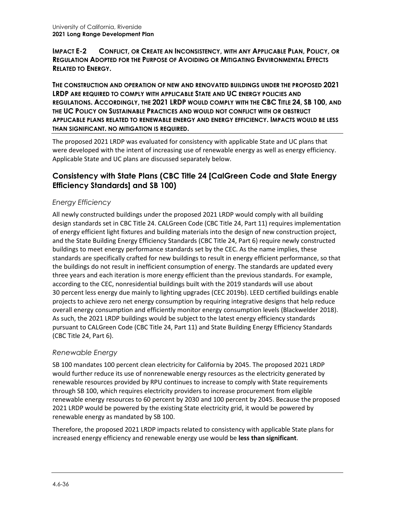**IMPACT E-2 CONFLICT, OR CREATE AN INCONSISTENCY, WITH ANY APPLICABLE PLAN, POLICY, OR REGULATION ADOPTED FOR THE PURPOSE OF AVOIDING OR MITIGATING ENVIRONMENTAL EFFECTS RELATED TO ENERGY.**

**THE CONSTRUCTION AND OPERATION OF NEW AND RENOVATED BUILDINGS UNDER THE PROPOSED 2021 LRDP ARE REQUIRED TO COMPLY WITH APPLICABLE STATE AND UC ENERGY POLICIES AND REGULATIONS. ACCORDINGLY, THE 2021 LRDP WOULD COMPLY WITH THE CBC TITLE 24, SB 100, AND THE UC POLICY ON SUSTAINABLE PRACTICES AND WOULD NOT CONFLICT WITH OR OBSTRUCT APPLICABLE PLANS RELATED TO RENEWABLE ENERGY AND ENERGY EFFICIENCY. IMPACTS WOULD BE LESS THAN SIGNIFICANT. NO MITIGATION IS REQUIRED.**

The proposed 2021 LRDP was evaluated for consistency with applicable State and UC plans that were developed with the intent of increasing use of renewable energy as well as energy efficiency. Applicable State and UC plans are discussed separately below.

# **Consistency with State Plans (CBC Title 24 [CalGreen Code and State Energy Efficiency Standards] and SB 100)**

# *Energy Efficiency*

All newly constructed buildings under the proposed 2021 LRDP would comply with all building design standards set in CBC Title 24. CALGreen Code (CBC Title 24, Part 11) requires implementation of energy efficient light fixtures and building materials into the design of new construction project, and the State Building Energy Efficiency Standards (CBC Title 24, Part 6) require newly constructed buildings to meet energy performance standards set by the CEC. As the name implies, these standards are specifically crafted for new buildings to result in energy efficient performance, so that the buildings do not result in inefficient consumption of energy. The standards are updated every three years and each iteration is more energy efficient than the previous standards. For example, according to the CEC, nonresidential buildings built with the 2019 standards will use about 30 percent less energy due mainly to lighting upgrades (CEC 2019b). LEED certified buildings enable projects to achieve zero net energy consumption by requiring integrative designs that help reduce overall energy consumption and efficiently monitor energy consumption levels (Blackwelder 2018). As such, the 2021 LRDP buildings would be subject to the latest energy efficiency standards pursuant to CALGreen Code (CBC Title 24, Part 11) and State Building Energy Efficiency Standards (CBC Title 24, Part 6).

# *Renewable Energy*

SB 100 mandates 100 percent clean electricity for California by 2045. The proposed 2021 LRDP would further reduce its use of nonrenewable energy resources as the electricity generated by renewable resources provided by RPU continues to increase to comply with State requirements through SB 100, which requires electricity providers to increase procurement from eligible renewable energy resources to 60 percent by 2030 and 100 percent by 2045. Because the proposed 2021 LRDP would be powered by the existing State electricity grid, it would be powered by renewable energy as mandated by SB 100.

Therefore, the proposed 2021 LRDP impacts related to consistency with applicable State plans for increased energy efficiency and renewable energy use would be **less than significant**.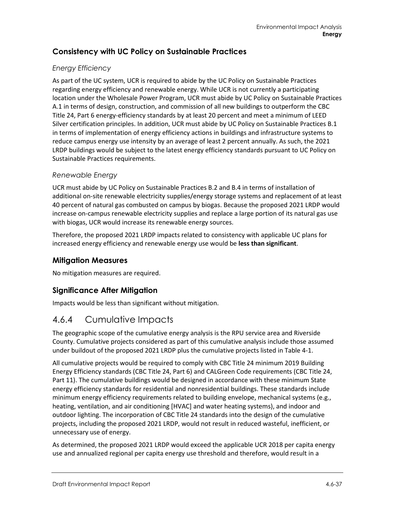# **Consistency with UC Policy on Sustainable Practices**

### *Energy Efficiency*

As part of the UC system, UCR is required to abide by the UC Policy on Sustainable Practices regarding energy efficiency and renewable energy. While UCR is not currently a participating location under the Wholesale Power Program, UCR must abide by UC Policy on Sustainable Practices A.1 in terms of design, construction, and commission of all new buildings to outperform the CBC Title 24, Part 6 energy-efficiency standards by at least 20 percent and meet a minimum of LEED Silver certification principles. In addition, UCR must abide by UC Policy on Sustainable Practices B.1 in terms of implementation of energy efficiency actions in buildings and infrastructure systems to reduce campus energy use intensity by an average of least 2 percent annually. As such, the 2021 LRDP buildings would be subject to the latest energy efficiency standards pursuant to UC Policy on Sustainable Practices requirements.

#### *Renewable Energy*

UCR must abide by UC Policy on Sustainable Practices B.2 and B.4 in terms of installation of additional on-site renewable electricity supplies/energy storage systems and replacement of at least 40 percent of natural gas combusted on campus by biogas. Because the proposed 2021 LRDP would increase on-campus renewable electricity supplies and replace a large portion of its natural gas use with biogas, UCR would increase its renewable energy sources.

Therefore, the proposed 2021 LRDP impacts related to consistency with applicable UC plans for increased energy efficiency and renewable energy use would be **less than significant**.

# **Mitigation Measures**

No mitigation measures are required.

# **Significance After Mitigation**

Impacts would be less than significant without mitigation.

# 4.6.4 Cumulative Impacts

The geographic scope of the cumulative energy analysis is the RPU service area and Riverside County. Cumulative projects considered as part of this cumulative analysis include those assumed under buildout of the proposed 2021 LRDP plus the cumulative projects listed in Table 4-1.

All cumulative projects would be required to comply with CBC Title 24 minimum 2019 Building Energy Efficiency standards (CBC Title 24, Part 6) and CALGreen Code requirements (CBC Title 24, Part 11). The cumulative buildings would be designed in accordance with these minimum State energy efficiency standards for residential and nonresidential buildings. These standards include minimum energy efficiency requirements related to building envelope, mechanical systems (e.g., heating, ventilation, and air conditioning [HVAC] and water heating systems), and indoor and outdoor lighting. The incorporation of CBC Title 24 standards into the design of the cumulative projects, including the proposed 2021 LRDP, would not result in reduced wasteful, inefficient, or unnecessary use of energy.

As determined, the proposed 2021 LRDP would exceed the applicable UCR 2018 per capita energy use and annualized regional per capita energy use threshold and therefore, would result in a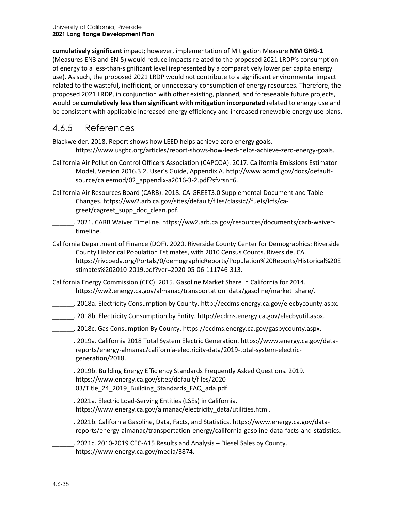**cumulatively significant** impact; however, implementation of Mitigation Measure **MM GHG-1** (Measures EN3 and EN-5) would reduce impacts related to the proposed 2021 LRDP's consumption of energy to a less-than-significant level (represented by a comparatively lower per capita energy use). As such, the proposed 2021 LRDP would not contribute to a significant environmental impact related to the wasteful, inefficient, or unnecessary consumption of energy resources. Therefore, the proposed 2021 LRDP, in conjunction with other existing, planned, and foreseeable future projects, would be **cumulatively less than significant with mitigation incorporated** related to energy use and be consistent with applicable increased energy efficiency and increased renewable energy use plans.

# 4.6.5 References

Blackwelder. 2018. Report shows how LEED helps achieve zero energy goals. https://www.usgbc.org/articles/report-shows-how-leed-helps-achieve-zero-energy-goals.

- California Air Pollution Control Officers Association (CAPCOA). 2017. California Emissions Estimator Model, Version 2016.3.2. User's Guide, Appendix A. http://www.aqmd.gov/docs/defaultsource/caleemod/02\_appendix-a2016-3-2.pdf?sfvrsn=6.
- California Air Resources Board (CARB). 2018. CA-GREET3.0 Supplemental Document and Table Changes. [https://ww2.arb.ca.gov/sites/default/files/classic//fuels/lcfs/ca](https://ww2.arb.ca.gov/sites/default/files/classic/fuels/lcfs/ca-greet/cagreet_supp_doc_clean.pdf)[greet/cagreet\\_supp\\_doc\\_clean.pdf.](https://ww2.arb.ca.gov/sites/default/files/classic/fuels/lcfs/ca-greet/cagreet_supp_doc_clean.pdf)
- \_\_\_\_\_\_. 2021. CARB Waiver Timeline. [https://ww2.arb.ca.gov/resources/documents/carb-waiver](https://ww2.arb.ca.gov/resources/documents/carb-waiver-timeline)[timeline.](https://ww2.arb.ca.gov/resources/documents/carb-waiver-timeline)
- California Department of Finance (DOF). 2020. Riverside County Center for Demographics: Riverside County Historical Population Estimates, with 2010 Census Counts. Riverside, CA. [https://rivcoeda.org/Portals/0/demographicReports/Population%20Reports/Historical%20E](https://rivcoeda.org/Portals/0/demographicReports/Population%20Reports/Historical%20Estimates%202010-2019.pdf?ver=2020-05-06-111746-313) [stimates%202010-2019.pdf?ver=2020-05-06-111746-313.](https://rivcoeda.org/Portals/0/demographicReports/Population%20Reports/Historical%20Estimates%202010-2019.pdf?ver=2020-05-06-111746-313)
- California Energy Commission (CEC). 2015. Gasoline Market Share in California for 2014. [https://ww2.energy.ca.gov/almanac/transportation\\_data/gasoline/market\\_share/.](https://ww2.energy.ca.gov/almanac/transportation_data/gasoline/market_share/)
- \_\_\_\_\_\_. 2018a. Electricity Consumption by County[. http://ecdms.energy.ca.gov/elecbycounty.aspx.](http://ecdms.energy.ca.gov/elecbycounty.aspx)
- \_\_\_\_\_\_\_. 2018b. Electricity Consumption by Entity. [http://ecdms.energy.ca.gov/elecbyutil.aspx.](http://ecdms.energy.ca.gov/elecbyutil.aspx)
- \_\_\_\_\_\_\_. 2018c. Gas Consumption By County[. https://ecdms.energy.ca.gov/gasbycounty.aspx.](https://ecdms.energy.ca.gov/gasbycounty.aspx)
- \_\_\_\_\_\_. 2019a. California 2018 Total System Electric Generation. [https://www.energy.ca.gov/data](https://www.energy.ca.gov/data-reports/energy-almanac/california-electricity-data/2019-total-system-electric-generation/2018)[reports/energy-almanac/california-electricity-data/2019-total-system-electric](https://www.energy.ca.gov/data-reports/energy-almanac/california-electricity-data/2019-total-system-electric-generation/2018)[generation/2018.](https://www.energy.ca.gov/data-reports/energy-almanac/california-electricity-data/2019-total-system-electric-generation/2018)
- \_\_\_\_\_\_. 2019b. Building Energy Efficiency Standards Frequently Asked Questions. 2019. [https://www.energy.ca.gov/sites/default/files/2020-](https://www.energy.ca.gov/sites/default/files/2020-03/Title_24_2019_Building_Standards_FAQ_ada.pdf) [03/Title\\_24\\_2019\\_Building\\_Standards\\_FAQ\\_ada.pdf.](https://www.energy.ca.gov/sites/default/files/2020-03/Title_24_2019_Building_Standards_FAQ_ada.pdf)
- \_\_\_\_\_\_. 2021a. Electric Load-Serving Entities (LSEs) in California. [https://www.energy.ca.gov/almanac/electricity\\_data/utilities.html.](https://www.energy.ca.gov/almanac/electricity_data/utilities.html)
- \_\_\_\_\_\_. 2021b. California Gasoline, Data, Facts, and Statistics[. https://www.energy.ca.gov/data](https://www.energy.ca.gov/data-reports/energy-almanac/transportation-energy/california-gasoline-data-facts-and-statistics)[reports/energy-almanac/transportation-energy/california-gasoline-data-facts-and-statistics.](https://www.energy.ca.gov/data-reports/energy-almanac/transportation-energy/california-gasoline-data-facts-and-statistics)
- \_\_\_\_\_\_. 2021c. 2010-2019 CEC-A15 Results and Analysis Diesel Sales by County. [https://www.energy.ca.gov/media/3874.](https://www.energy.ca.gov/media/3874)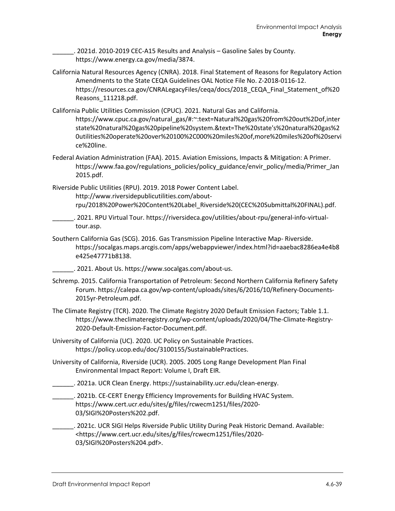\_\_\_\_\_\_. 2021d. 2010-2019 CEC-A15 Results and Analysis – Gasoline Sales by County. [https://www.energy.ca.gov/media/3874.](https://www.energy.ca.gov/media/3874)

- California Natural Resources Agency (CNRA). 2018. Final Statement of Reasons for Regulatory Action Amendments to the State CEQA Guidelines OAL Notice File No. Z-2018-0116-12. [https://resources.ca.gov/CNRALegacyFiles/ceqa/docs/2018\\_CEQA\\_Final\\_Statement\\_of%20](https://resources.ca.gov/CNRALegacyFiles/ceqa/docs/2018_CEQA_Final_Statement_of%20Reasons_111218.pdf) [Reasons\\_111218.pdf.](https://resources.ca.gov/CNRALegacyFiles/ceqa/docs/2018_CEQA_Final_Statement_of%20Reasons_111218.pdf)
- California Public Utilities Commission (CPUC). 2021. Natural Gas and California. [https://www.cpuc.ca.gov/natural\\_gas/#:~:text=Natural%20gas%20from%20out%2Dof,inter](https://www.cpuc.ca.gov/natural_gas/#:%7E:text=Natural%20gas%20from%20out%2Dof,interstate%20natural%20gas%20pipeline%20system.&text=The%20state) [state%20natural%20gas%20pipeline%20system.&text=The%20state's%20natural%20gas%2](https://www.cpuc.ca.gov/natural_gas/#:%7E:text=Natural%20gas%20from%20out%2Dof,interstate%20natural%20gas%20pipeline%20system.&text=The%20state) [0utilities%20operate%20over%20100%2C000%20miles%20of,more%20miles%20of%20servi](https://www.cpuc.ca.gov/natural_gas/#:%7E:text=Natural%20gas%20from%20out%2Dof,interstate%20natural%20gas%20pipeline%20system.&text=The%20state) [ce%20line.](https://www.cpuc.ca.gov/natural_gas/#:%7E:text=Natural%20gas%20from%20out%2Dof,interstate%20natural%20gas%20pipeline%20system.&text=The%20state)
- Federal Aviation Administration (FAA). 2015. Aviation Emissions, Impacts & Mitigation: A Primer. [https://www.faa.gov/regulations\\_policies/policy\\_guidance/envir\\_policy/media/Primer\\_Jan](https://www.faa.gov/regulations_policies/policy_guidance/envir_policy/media/Primer_Jan2015.pdf) [2015.pdf.](https://www.faa.gov/regulations_policies/policy_guidance/envir_policy/media/Primer_Jan2015.pdf)

Riverside Public Utilities (RPU). 2019. 2018 Power Content Label. [http://www.riversidepublicutilities.com/about](http://www.riversidepublicutilities.com/about-rpu/2018%20Power%20Content%20Label_Riverside%20(CEC%20Submittal%20FINAL).pdf)[rpu/2018%20Power%20Content%20Label\\_Riverside%20\(CEC%20Submittal%20FINAL\).pdf.](http://www.riversidepublicutilities.com/about-rpu/2018%20Power%20Content%20Label_Riverside%20(CEC%20Submittal%20FINAL).pdf)

- \_\_\_\_\_\_. 2021. RPU Virtual Tour[. https://riversideca.gov/utilities/about-rpu/general-info-virtual](https://riversideca.gov/utilities/about-rpu/general-info-virtual-tour.asp)[tour.asp.](https://riversideca.gov/utilities/about-rpu/general-info-virtual-tour.asp)
- Southern California Gas (SCG). 2016. Gas Transmission Pipeline Interactive Map- Riverside. [https://socalgas.maps.arcgis.com/apps/webappviewer/index.html?id=aaebac8286ea4e4b8](https://socalgas.maps.arcgis.com/apps/webappviewer/index.html?id=aaebac8286ea4e4b8e425e47771b8138) [e425e47771b8138.](https://socalgas.maps.arcgis.com/apps/webappviewer/index.html?id=aaebac8286ea4e4b8e425e47771b8138)
	- \_\_\_\_\_\_. 2021. About Us[. https://www.socalgas.com/about-us.](https://www.socalgas.com/about-us)
- Schremp. 2015. California Transportation of Petroleum: Second Northern California Refinery Safety Forum. [https://calepa.ca.gov/wp-content/uploads/sites/6/2016/10/Refinery-Documents-](https://calepa.ca.gov/wp-content/uploads/sites/6/2016/10/Refinery-Documents-2015yr-Petroleum.pdf)[2015yr-Petroleum.pdf.](https://calepa.ca.gov/wp-content/uploads/sites/6/2016/10/Refinery-Documents-2015yr-Petroleum.pdf)
- The Climate Registry (TCR). 2020. The Climate Registry 2020 Default Emission Factors; Table 1.1. [https://www.theclimateregistry.org/wp-content/uploads/2020/04/The-Climate-Registry-](https://www.theclimateregistry.org/wp-content/uploads/2020/04/The-Climate-Registry-2020-Default-Emission-Factor-Document.pdf)[2020-Default-Emission-Factor-Document.pdf.](https://www.theclimateregistry.org/wp-content/uploads/2020/04/The-Climate-Registry-2020-Default-Emission-Factor-Document.pdf)
- University of California (UC). 2020. UC Policy on Sustainable Practices. [https://policy.ucop.edu/doc/3100155/SustainablePractices.](https://policy.ucop.edu/doc/3100155/SustainablePractices)
- University of California, Riverside (UCR). 2005. 2005 Long Range Development Plan Final Environmental Impact Report: Volume I, Draft EIR.
- \_\_\_\_\_\_. 2021a. UCR Clean Energy. [https://sustainability.ucr.edu/clean-energy.](https://sustainability.ucr.edu/clean-energy)
- . 2021b. CE-CERT Energy Efficiency Improvements for Building HVAC System. [https://www.cert.ucr.edu/sites/g/files/rcwecm1251/files/2020-](https://www.cert.ucr.edu/sites/g/files/rcwecm1251/files/2020-03/SIGI%20Posters%202.pdf) [03/SIGI%20Posters%202.pdf.](https://www.cert.ucr.edu/sites/g/files/rcwecm1251/files/2020-03/SIGI%20Posters%202.pdf)
- \_\_\_\_\_\_. 2021c. UCR SIGI Helps Riverside Public Utility During Peak Historic Demand. Available: [<https://www.cert.ucr.edu/sites/g/files/rcwecm1251/files/2020-](https://www.cert.ucr.edu/sites/g/files/rcwecm1251/files/2020-03/SIGI%20Posters%204.pdf) [03/SIGI%20Posters%204.pdf>](https://www.cert.ucr.edu/sites/g/files/rcwecm1251/files/2020-03/SIGI%20Posters%204.pdf).